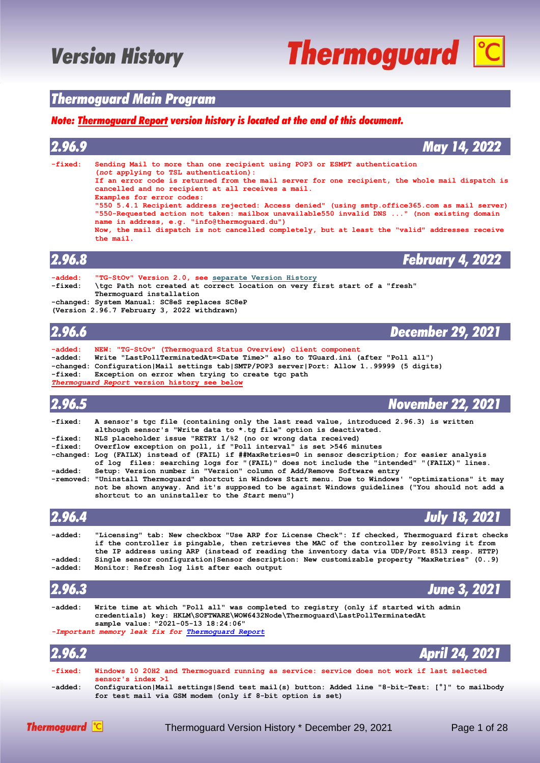# **Thermoguard C**

### *Thermoguard Main Program*

#### *Note: [Thermoguard Report](#page-20-0) version history is located at the end of this document.*

| 2.96.9                        | May 14, 2022                                                                                                                                                                                                                                                                                                                                                                                                                                                                                                                                                                                                                                                              |
|-------------------------------|---------------------------------------------------------------------------------------------------------------------------------------------------------------------------------------------------------------------------------------------------------------------------------------------------------------------------------------------------------------------------------------------------------------------------------------------------------------------------------------------------------------------------------------------------------------------------------------------------------------------------------------------------------------------------|
| $-fixed:$                     | Sending Mail to more than one recipient using POP3 or ESMPT authentication<br>(not applying to TSL authentication):<br>If an error code is returned from the mail server for one recipient, the whole mail dispatch is<br>cancelled and no recipient at all receives a mail.<br>Examples for error codes:<br>"550 5.4.1 Recipient address rejected: Access denied" (using smtp.office365.com as mail server)<br>"550-Requested action not taken: mailbox unavailable550 invalid DNS " (non existing domain<br>name in address, e.g. "info@thermoquard.du")<br>Now, the mail dispatch is not cancelled completely, but at least the "valid" addresses receive<br>the mail. |
| 2.96.8                        | <b>February 4, 2022</b>                                                                                                                                                                                                                                                                                                                                                                                                                                                                                                                                                                                                                                                   |
| $-added:$<br>-fixed:          | "TG-StOv" Version 2.0, see separate Version History<br>\tgc Path not created at correct location on very first start of a "fresh"<br>Thermoquard installation<br>-changed: System Manual: SC8eS replaces SC8eP<br>(Version 2.96.7 February 3, 2022 withdrawn)                                                                                                                                                                                                                                                                                                                                                                                                             |
| 2.96.6                        | <b>December 29, 2021</b>                                                                                                                                                                                                                                                                                                                                                                                                                                                                                                                                                                                                                                                  |
| -added:<br>-added:<br>-fixed: | NEW: "TG-StOv" (Thermoquard Status Overview) client component<br>Write "LastPollTerminatedAt= <date time="">" also to TGuard.ini (after "Poll all")<br/>-changed: Configuration   Mail settings tab   SMTP / POP3 server   Port: Allow 199999 (5 digits)<br/>Exception on error when trying to create tgc path</date>                                                                                                                                                                                                                                                                                                                                                     |

*[Thermoguard Report](#page-20-0)* **version history see below**

### *2.96.5 November 22, 2021*

| -fixed: | A sensor's tgc file (containing only the last read value, introduced 2.96.3) is written |
|---------|-----------------------------------------------------------------------------------------|
|         | although sensor's "Write data to *.tg file" option is deactivated.                      |
| -fixed: | NLS placeholder issue "RETRY 1/%2 (no or wrong data received)                           |
| -fixed: | Overflow exception on poll, if "Poll interval" is set >546 minutes                      |

**-changed: Log (FAILX) instead of (FAIL) if ##MaxRetries=0 in sensor description; for easier analysis of log files: searching logs for "(FAIL)" does not include the "intended" "(FAILX)" lines. -added: Setup: Version number in "Version" column of Add/Remove Software entry**

**-removed: "Uninstall Thermoguard" shortcut in Windows Start menu. Due to Windows' "optimizations" it may not be shown anyway. And it's supposed to be against Windows guidelines ("You should not add a shortcut to an uninstaller to the** *Start* **menu")**

| 2.96.4             | <b>July 18, 2021</b>                                                                                                                                                                                                                                                                             |
|--------------------|--------------------------------------------------------------------------------------------------------------------------------------------------------------------------------------------------------------------------------------------------------------------------------------------------|
| -added:            | "Licensing" tab: New checkbox "Use ARP for License Check": If checked, Thermoguard first checks<br>if the controller is pingable, then retrieves the MAC of the controller by resolving it from<br>the IP address using ARP (instead of reading the inventory data via UDP/Port 8513 resp. HTTP) |
| -added:<br>-added: | Single sensor configuration Sensor description: New customizable property "MaxRetries" (09)<br>Monitor: Refresh log list after each output                                                                                                                                                       |
| 2.96.3             | <b>June 3, 2021</b>                                                                                                                                                                                                                                                                              |
| -added:            | Write time at which "Poll all" was completed to registry (only if started with admin<br>credentials) key: HKLM\SOFTWARE\WOW6432Node\Thermoquard\LastPollTerminatedAt<br>sample value: "2021-05-13 18:24:06"                                                                                      |
|                    | -Important memory leak fix for Thermoquard Report                                                                                                                                                                                                                                                |
| 2.96.2             | <b>April 24, 2021</b>                                                                                                                                                                                                                                                                            |
| $-fixed:$          | Windows 10 20H2 and Thermoquard running as service: service does not work if last selected                                                                                                                                                                                                       |

|         | sensor's index $>1$                                                                                 |  |  |  |
|---------|-----------------------------------------------------------------------------------------------------|--|--|--|
| -added: | Configuration   Mail settings   Send test mail (s) button: Added line "8-bit-Test: [°]" to mailbody |  |  |  |
|         | for test mail via GSM modem (only if 8-bit option is set)                                           |  |  |  |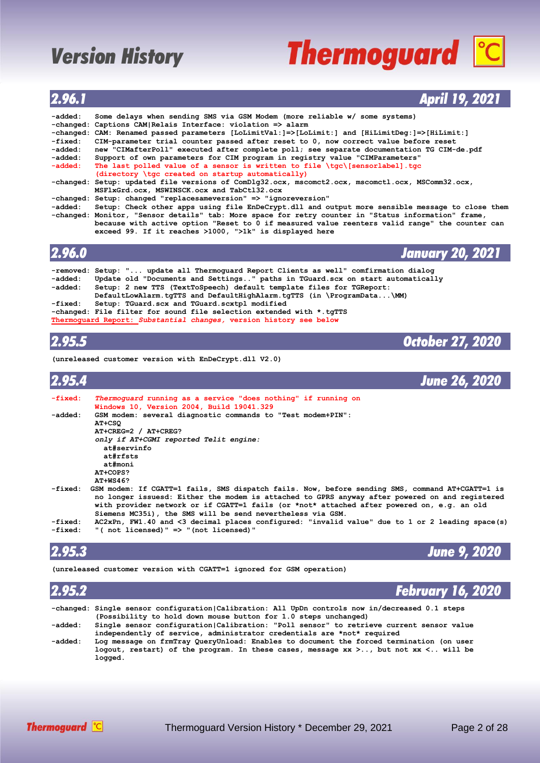# **Thermoguard C**

### *2.96.1 April 19, 2021*

| -added: | Some delays when sending SMS via GSM Modem (more reliable w/ some systems)                           |
|---------|------------------------------------------------------------------------------------------------------|
|         | -changed: Captions CAM Relais Interface: violation => alarm                                          |
|         | -changed: CAM: Renamed passed parameters [LoLimitVal:]=>[LoLimit:] and [HiLimitDeg:]=>[HiLimit:]     |
| -fixed: | CIM-parameter trial counter passed after reset to 0, now correct value before reset                  |
| -added: | new "CIMafterPoll" executed after complete poll; see separate documentation TG CIM-de.pdf            |
| -added: | Support of own parameters for CIM program in registry value "CIMParameters"                          |
| -added: | The last polled value of a sensor is written to file \tgc\[sensorlabel].tgc                          |
|         | (directory \tgc created on startup automatically)                                                    |
|         | -changed: Setup: updated file versions of ComDlg32.ocx, mscomct2.ocx, mscomct1.ocx, MSComm32.ocx,    |
|         | MSFlxGrd.ocx, MSWINSCK.ocx and TabCt132.ocx                                                          |
|         | -changed: Setup: changed "replacesameversion" => "ignoreversion"                                     |
| -added: | Setup: Check other apps using file EnDeCrypt.dll and output more sensible message to close them      |
|         | -changed: Monitor, "Sensor details" tab: More space for retry counter in "Status information" frame, |
|         | because with active option "Reset to 0 if measured value reenters valid range" the counter can       |
|         | exceed 99. If it reaches >1000, ">1k" is displayed here                                              |
|         |                                                                                                      |
| 2.96.0  |                                                                                                      |
|         | <b>January 20, 2021</b>                                                                              |
|         | -removed: Setup: " update all Thermoquard Report Clients as well" comfirmation dialog                |
|         |                                                                                                      |
| -added: | Update old "Documents and Settings" paths in TGuard.scx on start automatically                       |
| -added: | Setup: 2 new TTS (TextToSpeech) default template files for TGReport:                                 |

- **DefaultLowAlarm.tgTTS and DefaultHighAlarm.tgTTS (in \ProgramData...\MM)**<br>fixed: Setup: TGuard.scx and TGuard.scxtpl modified
- **-fixed: Setup: TGuard.scx and TGuard.scxtpl modified**
- **-changed: File filter for sound file selection extended with \*.tgTTS [Thermoguard Report:](#page-20-0)** *Substantial changes,* **version history see below**

### *2.95.5 October 27, 2020*

**(unreleased customer version with EnDeCrypt.dll V2.0)**

| 2.95.4                        |                                                                                                                                                                                                                                                                                                                                                                                                                                                                                                          | <b>June 26, 2020</b> |
|-------------------------------|----------------------------------------------------------------------------------------------------------------------------------------------------------------------------------------------------------------------------------------------------------------------------------------------------------------------------------------------------------------------------------------------------------------------------------------------------------------------------------------------------------|----------------------|
| -fixed:                       | Thermoquard running as a service "does nothing" if running on<br>Windows 10, Version 2004, Build 19041.329                                                                                                                                                                                                                                                                                                                                                                                               |                      |
| -added:                       | GSM modem: several diagnostic commands to "Test modem+PIN":<br>AT+CSQ<br>$AT+CREG=2 / AT+CREG?$<br>only if AT+CGMI reported Telit engine:<br>at#servinfo<br>at#rfsts<br>at#moni<br>AT <sub>1</sub> COPS?<br>$AT+WS46?$                                                                                                                                                                                                                                                                                   |                      |
| -fixed:<br>-fixed:<br>-fixed: | GSM modem: If CGATT=1 fails, SMS dispatch fails. Now, before sending SMS, command AT+CGATT=1 is<br>no longer issuesd: Either the modem is attached to GPRS anyway after powered on and registered<br>with provider network or if CGATT=1 fails (or *not* attached after powered on, e.g. an old<br>Siemens MC35i), the SMS will be send nevertheless via GSM.<br>AC2xPn, FW1.40 and <3 decimal places configured: "invalid value" due to 1 or 2 leading space(s)<br>"(not licensed)" => "(not licensed)" |                      |
|                               |                                                                                                                                                                                                                                                                                                                                                                                                                                                                                                          |                      |

### *2.95.3 June 9, 2020*

**(unreleased customer version with CGATT=1 ignored for GSM operation)**

| 2.95.2  | <b>February 16, 2020</b>                                                                                                                                                                              |
|---------|-------------------------------------------------------------------------------------------------------------------------------------------------------------------------------------------------------|
|         | -changed: Single sensor configuration   Calibration: All UpDn controls now in/decreased 0.1 steps                                                                                                     |
|         | (Possibility to hold down mouse button for 1.0 steps unchanged)                                                                                                                                       |
| -added: | Single sensor configuration calibration: "Poll sensor" to retrieve current sensor value<br>independently of service, administrator credentials are *not* required                                     |
| -added: | Log message on frmTray QueryUnload: Enables to document the forced termination (on user<br>logout, restart) of the program. In these cases, message $xx > .$ ., but not $xx < .$ . will be<br>logged. |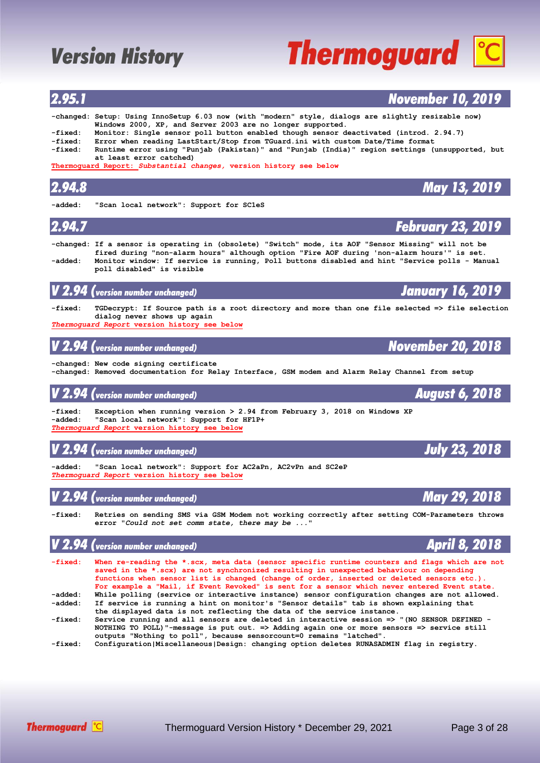| 2.94.8             |                                                                                                                                                                                                                                                                                                                                                                                                                                                                                          | <b>May 13, 2019</b>      |
|--------------------|------------------------------------------------------------------------------------------------------------------------------------------------------------------------------------------------------------------------------------------------------------------------------------------------------------------------------------------------------------------------------------------------------------------------------------------------------------------------------------------|--------------------------|
| -added:            | "Scan local network": Support for SC1eS                                                                                                                                                                                                                                                                                                                                                                                                                                                  |                          |
| 2.94.7             |                                                                                                                                                                                                                                                                                                                                                                                                                                                                                          | <b>February 23, 2019</b> |
| -added:            | -changed: If a sensor is operating in (obsolete) "Switch" mode, its AOF "Sensor Missing" will not be<br>fired during "non-alarm hours" although option "Fire AOF during 'non-alarm hours'" is set.<br>Monitor window: If service is running, Poll buttons disabled and hint "Service polls - Manual<br>poll disabled" is visible                                                                                                                                                         |                          |
|                    | $\overline{\mathsf{V}}$ 2.94 (version number unchanged)                                                                                                                                                                                                                                                                                                                                                                                                                                  | <b>January 16, 2019</b>  |
| -fixed:            | TGDecrypt: If Source path is a root directory and more than one file selected => file selection<br>dialog never shows up again<br><i>Thermoguard Report v</i> ersion history see below                                                                                                                                                                                                                                                                                                   |                          |
|                    | $V$ 2.94 (version number unchanged)                                                                                                                                                                                                                                                                                                                                                                                                                                                      | <b>November 20, 2018</b> |
|                    | -changed: New code signing certificate<br>-changed: Removed documentation for Relay Interface, GSM modem and Alarm Relay Channel from setup                                                                                                                                                                                                                                                                                                                                              |                          |
|                    | $\bm{V}$ 2.94 (version number unchanged)                                                                                                                                                                                                                                                                                                                                                                                                                                                 | <b>August 6, 2018</b>    |
| -fixed:<br>-added: | Exception when running version $> 2.94$ from February 3, 2018 on Windows XP<br>"Scan local network": Support for HF1P+<br><i>Thermoguard Report v</i> ersion history see below                                                                                                                                                                                                                                                                                                           |                          |
| V 2.94             | (version number unchanged)                                                                                                                                                                                                                                                                                                                                                                                                                                                               | <b>July 23, 2018</b>     |
| -added:            | "Scan local network": Support for AC2aPn, AC2vPn and SC2eP<br><i>Thermoguard Report v</i> ersion history see below                                                                                                                                                                                                                                                                                                                                                                       |                          |
|                    | $\bm{V}$ $\bm{2.94}$ (version number unchanged)                                                                                                                                                                                                                                                                                                                                                                                                                                          | <b>May 29, 2018</b>      |
| -fixed:            | Retries on sending SMS via GSM Modem not working correctly after setting COM-Parameters throws<br>error "Could not set comm state, there may be "                                                                                                                                                                                                                                                                                                                                        |                          |
|                    | $\bm{V}$ 2.94 (version number unchanged)                                                                                                                                                                                                                                                                                                                                                                                                                                                 | <b>April 8, 2018</b>     |
| -fixed:<br>-added: | When re-reading the *.scx, meta data (sensor specific runtime counters and flags which are not<br>saved in the *.scx) are not synchronized resulting in unexpected behaviour on depending<br>functions when sensor list is changed (change of order, inserted or deleted sensors etc.).<br>For example a "Mail, if Event Revoked" is sent for a sensor which never entered Event state.<br>While polling (service or interactive instance) sensor configuration changes are not allowed. |                          |
| -added:<br>-fixed: | If service is running a hint on monitor's "Sensor details" tab is shown explaining that<br>the displayed data is not reflecting the data of the service instance.<br>Service running and all sensors are deleted in interactive session => "(NO SENSOR DEFINED -<br>NOTHING TO POLL) "-message is put out. => Adding again one or more sensors => service still<br>outputs "Nothing to poll", because sensorcount=0 remains "latched".                                                   |                          |
| -fixed:            | Configuration Miscellaneous Design: changing option deletes RUNASADMIN flag in registry.                                                                                                                                                                                                                                                                                                                                                                                                 |                          |

#### **-changed: Setup: Using InnoSetup 6.03 now (with "modern" style, dialogs are slightly resizable now) Windows 2000, XP, and Server 2003 are no longer supported.**<br>-fixed: Monitor: Single sensor poll button enabled though sensor d

*2.95.1 November 10, 2019*

**-fixed: Monitor: Single sensor poll button enabled though sensor deactivated (introd. 2.94.7) -fixed: Error when reading LastStart/Stop from TGuard.ini with custom Date/Time format**

**-fixed: Runtime error using "Punjab (Pakistan)" and "Punjab (India)" region settings (unsupported, but at least error catched)**

**[Thermoguard Report:](#page-20-0)** *Substantial changes,* **version history see below**

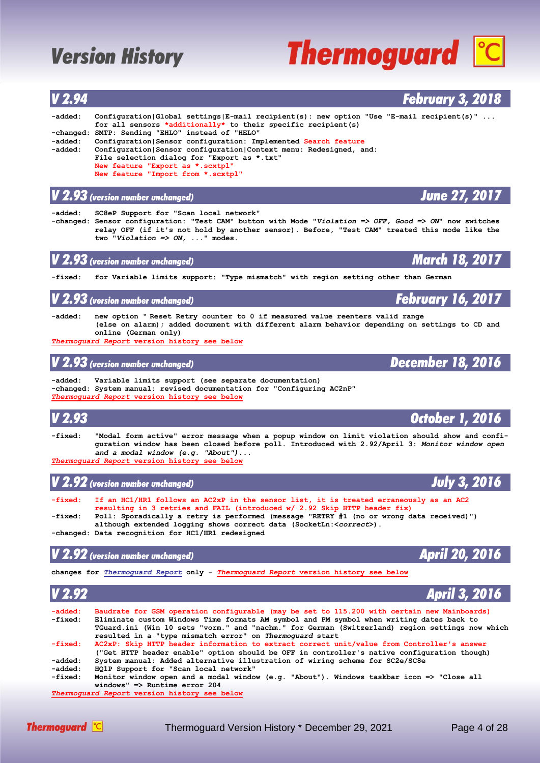### *V 2.94 February 3, 2018* **-added: Configuration|Global settings|E-mail recipient(s): new option "Use "E-mail recipient(s)" ... for all sensors \*additionally\* to their specific recipient(s) -changed: SMTP: Sending "EHLO" instead of "HELO" -added: Configuration|Sensor configuration: Implemented Search feature -added: Configuration|Sensor configuration|Context menu: Redesigned, and: File selection dialog for "Export as \*.txt" New feature "Export as \*.scxtpl" New feature "Import from \*.scxtpl"** *V 2.93 (version number unchanged) June 27, 2017* **-added: SC8eP Support for "Scan local network" -changed: Sensor configuration: "Test CAM" button with Mode "***Violation => OFF, Good => ON***" now switches relay OFF (if it's not hold by another sensor). Before, "Test CAM" treated this mode like the two "***Violation => ON, ...***" modes.** *V 2.93 (version number unchanged) March 18, 2017* **-fixed: for Variable limits support: "Type mismatch" with region setting other than German** *V* 2.93 *(version number unchanged)* **February 16, 20 -added: new option " Reset Retry counter to 0 if measured value reenters valid range (else on alarm); added document with different alarm behavior depending on settings to CD and online (German only)** *[Thermoguard Report](#page-20-0)* **version history see below** *V 2.93 (version number unchanged) December 18, 2016* **-added: Variable limits support (see separate documentation) -changed: System manual: revised documentation for "Configuring AC2nP"** *[Thermoguard Report](#page-20-0)* **version history see below** *V 2.93 October 1, 2016* **-fixed: "Modal form active" error message when a popup window on limit violation should show and confi guration window has been closed before poll. Introduced with 2.92/April 3:** *Monitor window open and a modal window (e.g. "About")***...** *[Thermoguard Report](#page-20-0)* **version history see below** *V 2.92 (version number unchanged) July 3, 2016 July* 3, 2016

**-fixed: If an HC1/HR1 follows an AC2xP in the sensor list, it is treated erraneously as an AC2 resulting in 3 retries and FAIL (introduced w/ 2.92 Skip HTTP header fix) -fixed: Poll: Sporadically a retry is performed (message "RETRY #1 (no or wrong data received)") although extended logging shows correct data (SocketLn:<***correct***>).**

**-changed: Data recognition for HC1/HR1 redesigned**

### *V 2.92 (version number unchanged) April 20, 2016*

**changes for** *[Thermoguard Report](#page-20-0)* **only -** *[Thermoguard Report](#page-20-0)* **version history see below**

| V 2.92    | April 3, 2016                                                                                   |
|-----------|-------------------------------------------------------------------------------------------------|
| $-added:$ | Baudrate for GSM operation configurable (may be set to 115.200 with certain new Mainboards)     |
| -fixed:   | Eliminate custom Windows Time formats AM symbol and PM symbol when writing dates back to        |
|           | TGuard.ini (Win 10 sets "vorm." and "nachm." for German (Switzerland) region settings now which |
|           | resulted in a "type mismatch error" on Thermoquard start                                        |
| $-fixed:$ | AC2xP: Skip HTTP header information to extract correct unit/value from Controller's answer      |
|           | ("Get HTTP header enable" option should be OFF in controller's native configuration though)     |
| -added:   | System manual: Added alternative illustration of wiring scheme for SC2e/SC8e                    |
| -added:   | HQ1P Support for "Scan local network"                                                           |
| -fixed:   | Monitor window open and a modal window (e.g. "About"). Windows taskbar icon => "Close all       |
|           | windows" $\Rightarrow$ Runtime error 204                                                        |
|           | Thermoquard Report version history see below                                                    |

**Thermoguard <sup>c</sup>C** Thermoguard Version History \* December 29, 2021 Page 4 of 28





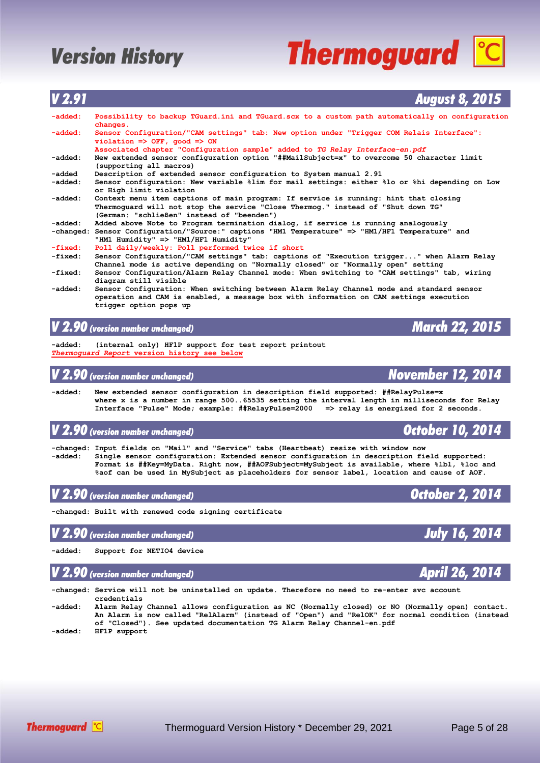**changes.**<br>added: Sensor C

# **Thermoguard C**

|           | $violation$ => OFF, $qood$ => ON                                                                                         |
|-----------|--------------------------------------------------------------------------------------------------------------------------|
|           |                                                                                                                          |
|           | Associated chapter "Configuration sample" added to TG Relay Interface-en.pdf                                             |
| -added:   | New extended sensor configuration option "##MailSubject=x" to overcome 50 character limit<br>(supporting all macros)     |
| -added    | Description of extended sensor configuration to System manual 2.91                                                       |
| -added:   | Sensor configuration: New variable %lim for mail settings: either %lo or %hi depending on Low<br>or High limit violation |
| -added:   | Context menu item captions of main program: If service is running: hint that closing                                     |
|           | Thermoquard will not stop the service "Close Thermoq." instead of "Shut down TG"                                         |
|           | (German: "schließen" instead of "beenden")                                                                               |
| -added:   | Added above Note to Program termination dialog, if service is running analogously                                        |
|           | -changed: Sensor Configuration/"Source:" captions "HM1 Temperature" => "HM1/HF1 Temperature" and                         |
|           | "HM1 Humidity" => "HM1/HF1 Humidity"                                                                                     |
| $-fixed:$ | Poll daily/weekly: Poll performed twice if short                                                                         |
| $-fixed:$ | Sensor Configuration/"CAM settings" tab: captions of "Execution trigger" when Alarm Relay                                |
|           | Channel mode is active depending on "Normally closed" or "Normally open" setting                                         |
| -fixed:   | Sensor Configuration/Alarm Relay Channel mode: When switching to "CAM settings" tab, wiring                              |
|           | diagram still visible                                                                                                    |
| -added:   | Sensor Configuration: When switching between Alarm Relay Channel mode and standard sensor                                |

*V 2.91 August 8, 2015*

**-added: Possibility to backup TGuard.ini and TGuard.scx to a custom path automatically on configuration**

**-added: Sensor Configuration/"CAM settings" tab: New option under "Trigger COM Relais Interface":**

 **operation and CAM is enabled, a message box with information on CAM settings execution trigger option pops up**

### *V 2.90 (version number unchanged) March 22, 2015*

**-added: (internal only) HF1P support for test report printout** *[Thermoguard Report](#page-20-0)* **version history see below**

### *V 2.90 (version number unchanged) November 12, 2014*

**-added: New extended sensor configuration in description field supported: ##RelayPulse=x where x is a number in range 500..65535 setting the interval length in milliseconds for Relay Interface "Pulse" Mode; example: ##RelayPulse=2000 => relay is energized for 2 seconds.**

### *V 2.90 (version number unchanged) October 10, 2014*

**-changed: Input fields on "Mail" and "Service" tabs (Heartbeat) resize with window now -added: Single sensor configuration: Extended sensor configuration in description field supported: Format is ##Key=MyData. Right now, ##AOFSubject=MySubject is available, where %lbl, %loc and %aof can be used in MySubject as placeholders for sensor label, location and cause of AOF.**

*V 2.90 (version number unchanged) October 2, 2014*

**-changed: Built with renewed code signing certificate**

### *V 2.90 (version number unchanged) July 16, 2014*

**-added: Support for NETIO4 device**

### *V 2.90 (version number unchanged) April 26, 2014*

**-changed: Service will not be uninstalled on update. Therefore no need to re-enter svc account credentials**

**-added: Alarm Relay Channel allows configuration as NC (Normally closed) or NO (Normally open) contact. An Alarm is now called "RelAlarm" (instead of "Open") and "RelOK" for normal condition (instead of "Closed"). See updated documentation TG Alarm Relay Channel-en.pdf -added: HF1P support**







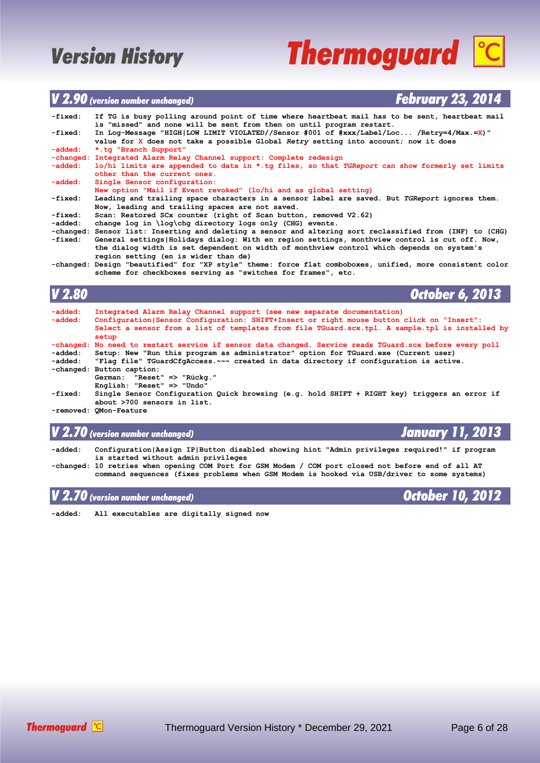## **Thermoguard C**

### *V 2.90 (version number unchanged) February 23, 2014*

| -fixed: | If TG is busy polling around point of time where heartbeat mail has to be sent, heartbeat mail            |
|---------|-----------------------------------------------------------------------------------------------------------|
|         | is "missed" and none will be sent from then on until program restart.                                     |
| -fixed: | In Log-Message "HIGH LOW LIMIT VIOLATED//Sensor #001 of #xxx/Label/Loc /Retry=4/Max.=X)"                  |
|         | value for X does not take a possible Global Retry setting into account; now it does                       |
| -added: | *.tg "Branch Support"                                                                                     |
|         | -changed: Integrated Alarm Relay Channel support: Complete redesign                                       |
| -added: | lo/hi limits are appended to data in $*$ .tq files, so that TGReport can show formerly set limits         |
|         | other than the current ones.                                                                              |
| -added: | Single Sensor configuration:                                                                              |
|         | New option "Mail if Event revoked" (lo/hi and as global setting)                                          |
| -fixed: | Leading and trailing space characters in a sensor label are saved. But TGReport ignores them.             |
|         | Now, leading and trailing spaces are not saved.                                                           |
| -fixed: | Scan: Restored SCx counter (right of Scan button, removed V2.62)                                          |
| -added: | change log in $\log \ch q$ directory logs only (CHG) events.                                              |
|         | -changed: Sensor list: Inserting and deleting a sensor and altering sort reclassified from (INF) to (CHG) |
| -fixed: | General settings   Holidays dialog: With en region settings, monthview control is cut off. Now,           |
|         | the dialog width is set dependent on width of monthview control which depends on system's                 |
|         | region setting (en is wider than de)                                                                      |
|         | -changed: Design "beautified" for "XP style" theme: force flat comboboxes, unified, more consistent color |
|         | scheme for checkboxes serving as "switches for frames", etc.                                              |

#### *V 2.80 October 6, 2013* **-added: Integrated Alarm Relay Channel support (see new separate documentation) -added: Configuration|Sensor Configuration: SHIFT+Insert or right mouse button click on "Insert": Select a sensor from a list of templates from file TGuard.scx.tpl. A sample.tpl is installed by setup -changed: No need to restart service if sensor data changed. Service reads TGuard.scx before every poll -added: Setup: New "Run this program as administrator" option for TGuard.exe (Current user) -added: "Flag file" TGuardCfgAccess.~~~ created in data directory if configuration is active. -changed: Button caption: German: "Reset" => "Rückg." English: "Reset" => "Undo" -fixed: Single Sensor Configuration Quick browsing (e.g. hold SHIFT + RIGHT key) triggers an error if about >700 sensors in list. -removed: QMon-Feature**

### *V 2.70 (version number unchanged) January 11, 2013*

**-added: Configuration|Assign IP|Button disabled showing hint "Admin privileges required!" if program is started without admin privileges -changed: 10 retries when opening COM Port for GSM Modem / COM port closed not before end of all AT**

 **command sequences (fixes problems when GSM Modem is hooked via USB/driver to some systems)**

**-added: All executables are digitally signed now**



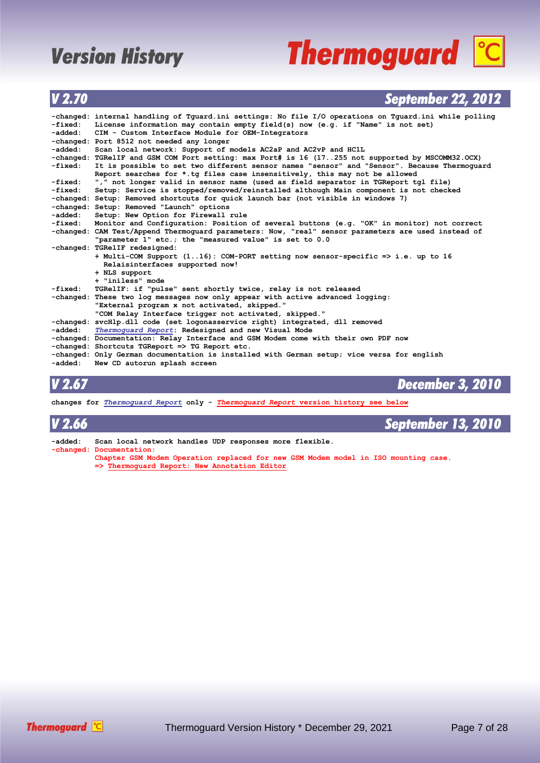# **Thermoguard C**

### *V 2.70 September 22, 2012*

|         | -changed: internal handling of Tquard.ini settings: No file I/O operations on Tquard.ini while polling |
|---------|--------------------------------------------------------------------------------------------------------|
| -fixed: | License information may contain empty field(s) now (e.g. if "Name" is not set)                         |
| -added: | CIM - Custom Interface Module for OEM-Integrators                                                      |
|         | -changed: Port 8512 not needed any longer                                                              |
| -added: | Scan local network: Support of models AC2aP and AC2vP and HC1L                                         |
|         | -changed: TGRelIF and GSM COM Port setting: max Port# is 16 (17255 not supported by MSCOMM32.OCX)      |
| -fixed: | It is possible to set two different sensor names "sensor" and "Sensor". Because Thermoquard            |
|         | Report searches for *.tq files case insensitively, this may not be allowed                             |
| -fixed: | "," not longer valid in sensor name (used as field separator in TGReport tgl file)                     |
| -fixed: | Setup: Service is stopped/removed/reinstalled although Main component is not checked                   |
|         | -changed: Setup: Removed shortcuts for quick launch bar (not visible in windows 7)                     |
|         | -changed: Setup: Removed "Launch" options                                                              |
| -added: | Setup: New Option for Firewall rule                                                                    |
| -fixed: | Monitor and Configuration: Position of several buttons (e.g. "OK" in monitor) not correct              |
|         | -changed: CAM Test/Append Thermoquard parameters: Now, "real" sensor parameters are used instead of    |
|         | "parameter 1" etc.; the "measured value" is set to 0.0                                                 |
|         | -changed: TGRelIF redesigned:                                                                          |
|         | + Multi-COM Support (116): COM-PORT setting now sensor-specific => i.e. up to 16                       |
|         | Relaisinterfaces supported now!                                                                        |
|         | + NLS support                                                                                          |
|         | + "iniless" mode                                                                                       |
| -fixed: | TGRelIF: if "pulse" sent shortly twice, relay is not released                                          |
|         | -changed: These two log messages now only appear with active advanced logging:                         |
|         | "External program x not activated, skipped."                                                           |
|         | "COM Relay Interface trigger not activated, skipped."                                                  |
|         | -changed: svcHlp.dll code (set logonasservice right) integrated, dll removed                           |
| -added: | Thermoquard Report: Redesigned and new Visual Mode                                                     |
|         | -changed: Documentation: Relay Interface and GSM Modem come with their own PDF now                     |
|         | -changed: Shortcuts TGReport => TG Report etc.                                                         |
|         | -changed: Only German documentation is installed with German setup; vice versa for english             |
|         | -added: New CD autorun splash screen                                                                   |
|         |                                                                                                        |

*V 2.67 December 3, 2010*

**changes for** *[Thermoguard Report](#page-20-0)* **only -** *[Thermoguard Report](#page-20-0)* **version history see below**

| V <sub>2.66</sub> |                                                                                     | September 13, 2010 |
|-------------------|-------------------------------------------------------------------------------------|--------------------|
| -added:           | Scan local network handles UDP responses more flexible.<br>-changed: Documentation: |                    |

- **Chapter GSM Modem Operation replaced for new GSM Modem model in ISO mounting case.**
- **=> [Thermoguard Report: New Annotation Editor](#page-20-0)**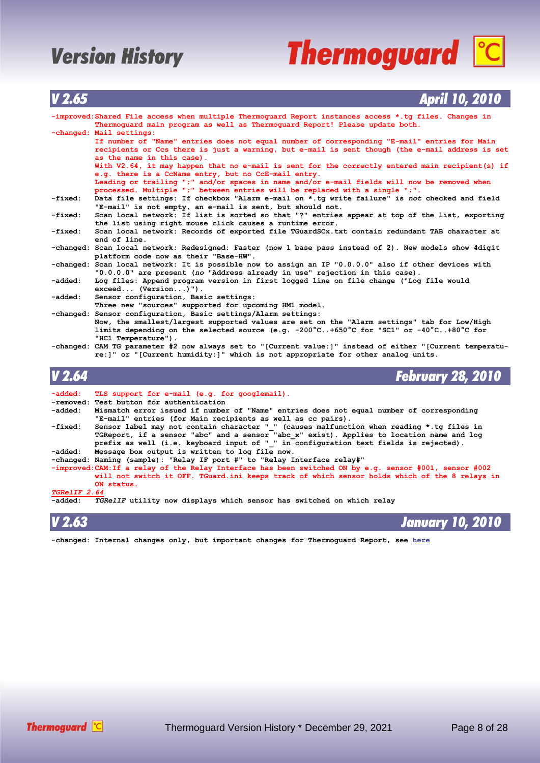# **Thermoguard C**

| $\blacksquare$    | лрін ту дуту                                                                                                                                                                                                                  |
|-------------------|-------------------------------------------------------------------------------------------------------------------------------------------------------------------------------------------------------------------------------|
|                   | -improved: Shared File access when multiple Thermoquard Report instances access *.tq files. Changes in<br>Thermoquard main program as well as Thermoquard Report! Please update both.                                         |
|                   | -changed: Mail settings:                                                                                                                                                                                                      |
|                   | If number of "Name" entries does not equal number of corresponding "E-mail" entries for Main<br>recipients or Ccs there is just a warning, but e-mail is sent though (the e-mail address is set<br>as the name in this case). |
|                   |                                                                                                                                                                                                                               |
|                   | With V2.64, it may happen that no e-mail is sent for the correctly entered main recipient (s) if<br>e.g. there is a CcName entry, but no CcE-mail entry.                                                                      |
|                   | Leading or trailing ";" and/or spaces in name and/or e-mail fields will now be removed when                                                                                                                                   |
|                   | processed. Multiple ";" between entries will be replaced with a single ";".                                                                                                                                                   |
| -fixed:           | Data file settings: If checkbox "Alarm e-mail on *.tg write failure" is not checked and field<br>"E-mail" is not empty, an e-mail is sent, but should not.                                                                    |
| -fixed:           | Scan local network: If list is sorted so that "?" entries appear at top of the list, exporting                                                                                                                                |
|                   | the list using right mouse click causes a runtime error.                                                                                                                                                                      |
| -fixed:           | Scan local network: Records of exported file TGuardSCx.txt contain redundant TAB character at                                                                                                                                 |
|                   | end of line.                                                                                                                                                                                                                  |
|                   | -changed: Scan local network: Redesigned: Faster (now 1 base pass instead of 2). New models show 4digit<br>platform code now as their "Base-HW".                                                                              |
|                   | -changed: Scan local network: It is possible now to assign an IP "0.0.0.0" also if other devices with<br>"0.0.0.0" are present (no "Address already in use" rejection in this case).                                          |
| -added:           | Log files: Append program version in first logged line on file change ("Log file would<br>$exceed$ (Version)").                                                                                                               |
| -added:           | Sensor configuration, Basic settings:                                                                                                                                                                                         |
|                   | Three new "sources" supported for upcoming HM1 model.                                                                                                                                                                         |
|                   | -changed: Sensor configuration, Basic settings/Alarm settings:                                                                                                                                                                |
|                   | Now, the smallest/largest supported values are set on the "Alarm settings" tab for Low/High                                                                                                                                   |
|                   | limits depending on the selected source (e.g. -200 $^{\circ}$ C+650 $^{\circ}$ C for "SC1" or -40 $^{\circ}$ C+80 $^{\circ}$ C for                                                                                            |
|                   | "HC1 Temperature").                                                                                                                                                                                                           |
|                   | -changed: CAM TG parameter #2 now always set to "[Current value:]" instead of either "[Current temperatu-                                                                                                                     |
|                   | re: ]" or "[Current humidity: ]" which is not appropriate for other analog units.                                                                                                                                             |
|                   |                                                                                                                                                                                                                               |
| V <sub>2.64</sub> | <b>February 28, 2010</b>                                                                                                                                                                                                      |
| -added:           | TLS support for e-mail (e.g. for googlemail).                                                                                                                                                                                 |
|                   | -removed: Test button for authentication                                                                                                                                                                                      |
| -added:           | Mismatch error issued if number of "Name" entries does not equal number of corresponding                                                                                                                                      |
|                   | the contract of the contract of the con-<br>the contract of the contract of the contract of the contract of the contract of<br>$\mathbf{r}$ , and the state of $\mathbf{r}$ , and the state of $\mathbf{r}$                   |

| -added:                    | Mismatch error issued if number of "Name" entries does not equal number of corresponding                |
|----------------------------|---------------------------------------------------------------------------------------------------------|
|                            | "E-mail" entries (for Main recipients as well as cc pairs).                                             |
| -fixed:                    | Sensor label may not contain character " " (causes malfunction when reading *.tq files in               |
|                            | TGReport, if a sensor "abc" and a sensor "abc x" exist). Applies to location name and log               |
|                            | prefix as well (i.e. keyboard input of " " in configuration text fields is rejected).                   |
| -added:                    | Message box output is written to log file now.                                                          |
|                            | -changed: Naming (sample): "Relay IF port #" to "Relay Interface relay#"                                |
|                            | -improved: CAM: If a relay of the Relay Interface has been switched ON by e.g. sensor #001, sensor #002 |
|                            | will not switch it OFF. TGuard.ini keeps track of which sensor holds which of the 8 relays in           |
|                            | ON status.                                                                                              |
| <i><b>TGRelIF 2.64</b></i> |                                                                                                         |
| -added:                    | TGRelIF utility now displays which sensor has switched on which relay                                   |

*V 2.63 January 10, 2010*

**-changed: Internal changes only, but important changes for Thermoguard Report, see [here](#page-20-0)**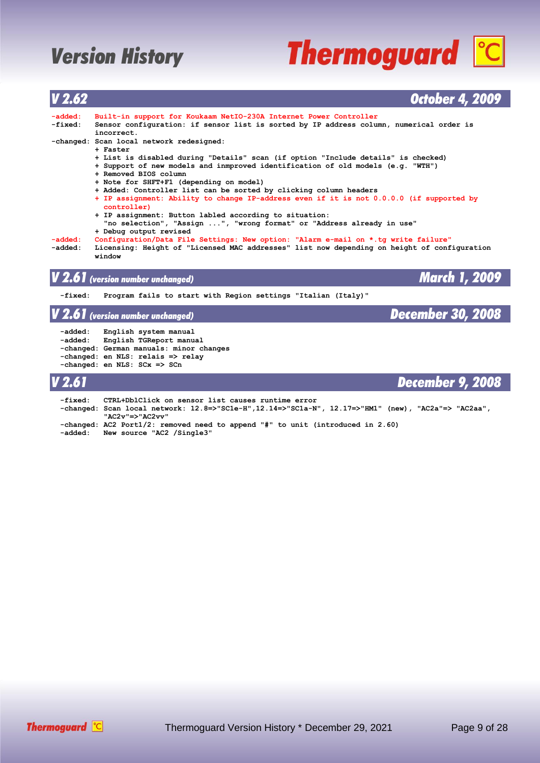# **Thermoguard C**

| V <sub>2.62</sub>  | <b>October 4, 2009</b>                                                                                                                                                                        |
|--------------------|-----------------------------------------------------------------------------------------------------------------------------------------------------------------------------------------------|
| -added:<br>-fixed: | Built-in support for Koukaam NetIO-230A Internet Power Controller<br>Sensor configuration: if sensor list is sorted by IP address column, numerical order is<br>incorrect.                    |
|                    | -changed: Scan local network redesigned:<br>+ Faster                                                                                                                                          |
|                    | + List is disabled during "Details" scan (if option "Include details" is checked)<br>+ Support of new models and inmproved identification of old models (e.g. "WTH")<br>+ Removed BIOS column |
|                    | + Note for SHFT+F1 (depending on model)                                                                                                                                                       |
|                    | + Added: Controller list can be sorted by clicking column headers<br>+ IP assignment: Ability to change IP-address even if it is not 0.0.0.0 (if supported by<br>controller)                  |
|                    | + IP assignment: Button labled according to situation:<br>"no selection", "Assign ", "wrong format" or "Address already in use"<br>+ Debug output revised                                     |
| -added:<br>-added: | Configuration/Data File Settings: New option: "Alarm e-mail on *.tg write failure"<br>Licensing: Height of "Licensed MAC addresses" list now depending on height of configuration<br>window   |
|                    | <b>March 1, 2009</b><br>$\boldsymbol{V}$ 2.61 (version number unchanged)                                                                                                                      |
| -fixed:            | Program fails to start with Region settings "Italian (Italy)"                                                                                                                                 |
|                    | <b>December 30, 2008</b><br>$\boldsymbol{V}$ 2.61 (version number unchanged)                                                                                                                  |
| -added:<br>-added: | English system manual<br>English TGReport manual<br>-changed: German manuals: minor changes<br>-changed: en NLS: relais => relay<br>-changed: en NLS: SCx => SCn                              |
| <b>V</b> 2.61      | <b>December 9, 2008</b>                                                                                                                                                                       |

| -fixed: | CTRL+DblClick on sensor list causes runtime error<br>-changed: Scan local network: 12.8=>"SC1e-H",12.14=>"SC1a-N", 12.17=>"HM1" (new), "AC2a"=> "AC2aa",<br>"AC2v"=>"AC2vv" |
|---------|-----------------------------------------------------------------------------------------------------------------------------------------------------------------------------|
|         | -changed: AC2 Port1/2: removed need to append "#" to unit (introduced in 2.60)<br>-added: New source "AC2 /Single3"                                                         |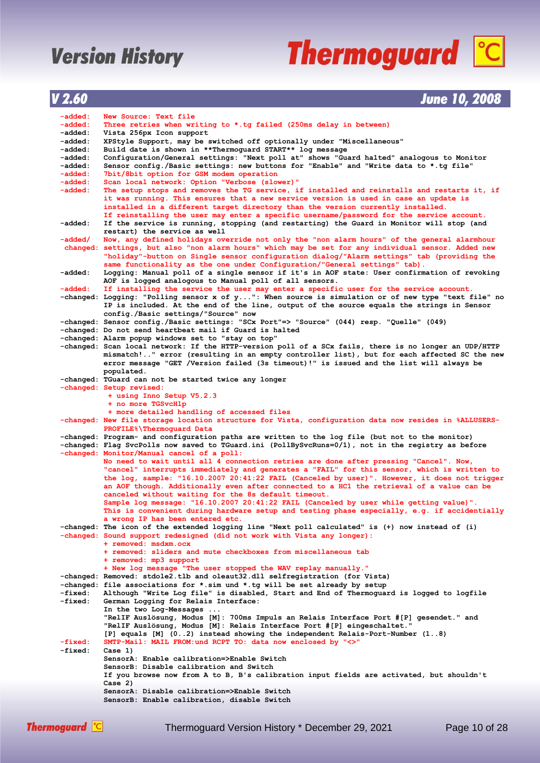# **Thermoguard C**

| V 2.60 | <b>June 10, 2008</b> |
|--------|----------------------|
|        |                      |

| -added:  | New Source: Text file                                                                                                                                       |
|----------|-------------------------------------------------------------------------------------------------------------------------------------------------------------|
| -added:  | Three retries when writing to $\star$ .tg failed (250ms delay in between)                                                                                   |
| -added : | Vista 256px Icon support                                                                                                                                    |
| -added : | XPStyle Support, may be switched off optionally under "Miscellaneous"                                                                                       |
| -added:  | Build date is shown in **Thermoguard START** log message                                                                                                    |
| -added:  | Configuration/General settings: "Next poll at" shows "Guard halted" analogous to Monitor                                                                    |
| -added:  | Sensor config./Basic settings: new buttons for "Enable" and "Write data to *.tg file"                                                                       |
| -added:  | 7bit/8bit option for GSM modem operation                                                                                                                    |
| -added:  | Scan local network: Option "Verbose (slower)"                                                                                                               |
| -added:  | The setup stops and removes the TG service, if installed and reinstalls and restarts it, if                                                                 |
|          | it was running. This ensures that a new service version is used in case an update is                                                                        |
|          | installed in a different target directory than the version currently installed.                                                                             |
|          | If reinstalling the user may enter a specific username/password for the service account.                                                                    |
| -added:  | If the service is running, stopping (and restarting) the Guard in Monitor will stop (and                                                                    |
|          | restart) the service as well                                                                                                                                |
| -added/  | Now, any defined holidays override not only the "non alarm hours" of the general alarmhour                                                                  |
|          | changed: settings, but also "non alarm hours" which may be set for any individual sensor. Added new                                                         |
|          | "holiday"-button on Single sensor configuration dialog/"Alarm settings" tab (providing the                                                                  |
|          | same functionality as the one under Configuration/"General settings" tab).                                                                                  |
| -added:  | Logging: Manual poll of a single sensor if it's in AOF state: User confirmation of revoking                                                                 |
|          | AOF is logged analogous to Manual poll of all sensors.                                                                                                      |
| -added:  | If installing the service the user may enter a specific user for the service account.                                                                       |
|          | -changed: Logging: "Polling sensor x of y": When source is simulation or of new type "text file" no                                                         |
|          | IP is included. At the end of the line, output of the source equals the strings in Sensor                                                                   |
|          | config./Basic settings/"Source" now                                                                                                                         |
|          | -changed: Sensor config./Basic settings: "SCx Port"=> "Source" (044) resp. "Quelle" (049)                                                                   |
|          | -changed: Do not send heartbeat mail if Guard is halted                                                                                                     |
|          | -changed: Alarm popup windows set to "stay on top"                                                                                                          |
|          | -changed: Scan local network: If the HTTP-version poll of a SCx fails, there is no longer an UDP/HTTP                                                       |
|          | mismatch!" error (resulting in an empty controller list), but for each affected SC the new                                                                  |
|          | error message "GET /Version failed (3s timeout)!" is issued and the list will always be                                                                     |
|          | populated.<br>-changed: TGuard can not be started twice any longer                                                                                          |
|          | -changed: Setup revised:                                                                                                                                    |
|          | + using Inno Setup V5.2.3                                                                                                                                   |
|          | + no more TGSvcHlp                                                                                                                                          |
|          | + more detailed handling of accessed files                                                                                                                  |
|          | -changed: New file storage location structure for Vista, configuration data now resides in %ALLUSERS-                                                       |
|          | PROFILE%\Thermoquard Data                                                                                                                                   |
|          | -changed: Program- and configuration paths are written to the log file (but not to the monitor)                                                             |
|          | -changed: Flag SvcPolls now saved to TGuard.ini (PollBySvcRuns=0/1), not in the registry as before                                                          |
|          | -changed: Monitor/Manual cancel of a poll:                                                                                                                  |
|          | No need to wait until all 4 connection retries are done after pressing "Cancel". Now,                                                                       |
|          | "cancel" interrupts immediately and generates a "FAIL" for this sensor, which is written to                                                                 |
|          | the log, sample: "16.10.2007 20:41:22 FAIL (Canceled by user)". However, it does not trigger                                                                |
|          | an AOF though. Additionally even after connected to a HC1 the retrieval of a value can be                                                                   |
|          | canceled without waiting for the 8s default timeout.                                                                                                        |
|          | Sample log message: "16.10.2007 20:41:22 FAIL (Canceled by user while getting value)".                                                                      |
|          | This is convenient during hardware setup and testing phase especially, e.g. if accidentially                                                                |
|          | a wrong IP has been entered etc.                                                                                                                            |
|          | -changed: The icon of the extended logging line "Next poll calculated" is (+) now instead of (i)                                                            |
|          | -changed: Sound support redesigned (did not work with Vista any longer):                                                                                    |
|          | + removed: msdxm.ocx                                                                                                                                        |
|          | + removed: sliders and mute checkboxes from miscellaneous tab                                                                                               |
|          | + removed: mp3 support                                                                                                                                      |
|          | + New log message "The user stopped the WAV replay manually."                                                                                               |
|          | -changed: Removed: stdole2.tlb and oleaut32.dll selfregistration (for Vista)<br>-changed: file associations for *.sim und *.tg will be set already by setup |
| -fixed:  | Although "Write Log file" is disabled, Start and End of Thermoguard is logged to logfile                                                                    |
| -fixed:  | German Logging for Relais Interface:                                                                                                                        |
|          | In the two Log-Messages                                                                                                                                     |
|          | "RelIF Auslösung, Modus [M]: 700ms Impuls an Relais Interface Port #[P] gesendet." and                                                                      |
|          | "RelIF Auslösung, Modus [M]: Relais Interface Port #[P] eingeschaltet."                                                                                     |
|          | [P] equals [M] (02) instead showing the independent Relais-Port-Number (18)                                                                                 |
| -fixed:  | SMTP-Mail: MAIL FROM: und RCPT TO: data now enclosed by "<>"                                                                                                |
| -fixed:  | Case 1)                                                                                                                                                     |
|          | SensorA: Enable calibration=>Enable Switch                                                                                                                  |
|          | SensorB: Disable calibration and Switch                                                                                                                     |
|          | If you browse now from A to B, B's calibration input fields are activated, but shouldn't                                                                    |
|          | Case 2)                                                                                                                                                     |
|          | SensorA: Disable calibration=>Enable Switch                                                                                                                 |
|          | SensorB: Enable calibration, disable Switch                                                                                                                 |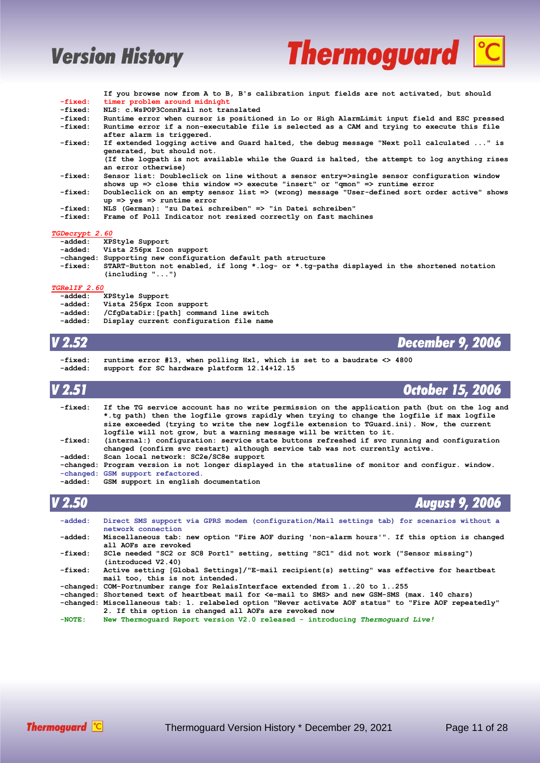

|                       | If you browse now from A to B, B's calibration input fields are not activated, but should                                                                                   |
|-----------------------|-----------------------------------------------------------------------------------------------------------------------------------------------------------------------------|
| -fixed:               | timer problem around midnight                                                                                                                                               |
| -fixed:               | NLS: c.WsPOP3ConnFail not translated                                                                                                                                        |
| -fixed:               | Runtime error when cursor is positioned in Lo or High AlarmLimit input field and ESC pressed                                                                                |
| -fixed:               | Runtime error if a non-executable file is selected as a CAM and trying to execute this file<br>after alarm is triggered.                                                    |
| -fixed:               | If extended logging active and Guard halted, the debug message "Next poll calculated " is<br>generated, but should not.                                                     |
|                       | (If the logpath is not available while the Guard is halted, the attempt to log anything rises                                                                               |
|                       | an error otherwise)                                                                                                                                                         |
| -fixed:               | Sensor list: Doubleclick on line without a sensor entry=>single sensor configuration window<br>shows up => close this window => execute "insert" or "qmon" => runtime error |
| -fixed:               | Doubleclick on an empty sensor list => (wrong) message "User-defined sort order active" shows                                                                               |
|                       | $up \Rightarrow ves \Rightarrow runtime error$                                                                                                                              |
| -fixed:               | NLS (German): "zu Datei schreiben" => "in Datei schreiben"                                                                                                                  |
| -fixed:               | Frame of Poll Indicator not resized correctly on fast machines                                                                                                              |
| <i>TGDecrvpt 2.60</i> |                                                                                                                                                                             |
|                       | addad. VDCt.ia C.panant                                                                                                                                                     |

- **-added: XPStyle Support -added: Vista 256px Icon support**
- **-changed: Supporting new configuration default path structure**
- **-fixed: START-Button not enabled, if long \*.log- or \*.tg-paths displayed in the shortened notation (including "...")**

### *TGRelIF 2.60*

- *XPStyle Support*
- Vista 256px Icon support
- **-added: /CfgDataDir:[path] command line switch**
- Display current configuration file name

- *V 2.52 December 9, 2006*
	- **-fixed: runtime error #13, when polling Hx1, which is set to a baudrate <> 4800 -added: support for SC hardware platform 12.14+12.15**

| V 2.51  | October 15, 2006                                                                                                                                                                                                                                                                                                                                                |
|---------|-----------------------------------------------------------------------------------------------------------------------------------------------------------------------------------------------------------------------------------------------------------------------------------------------------------------------------------------------------------------|
| -fixed: | If the TG service account has no write permission on the application path (but on the log and<br>*.tg path) then the logfile grows rapidly when trying to change the logfile if max logfile<br>size exceeded (trying to write the new logfile extension to TGuard.ini). Now, the current<br>logfile will not grow, but a warning message will be written to it. |
| -fixed: | (internal:) configuration: service state buttons refreshed if svc running and configuration<br>changed (confirm svc restart) although service tab was not currently active.                                                                                                                                                                                     |
| -added: | Scan local network: SC2e/SC8e support                                                                                                                                                                                                                                                                                                                           |
|         | -changed: Program version is not longer displayed in the statusline of monitor and configur. window.                                                                                                                                                                                                                                                            |
|         | -changed: GSM support refactored.                                                                                                                                                                                                                                                                                                                               |
| -added: | GSM support in english documentation                                                                                                                                                                                                                                                                                                                            |
|         |                                                                                                                                                                                                                                                                                                                                                                 |
| V 2.50  | <b>August 9, 2006</b>                                                                                                                                                                                                                                                                                                                                           |

| $-added:$ | Direct SMS support via GPRS modem (configuration/Mail settings tab) for scenarios without a<br>network connection                                              |  |  |
|-----------|----------------------------------------------------------------------------------------------------------------------------------------------------------------|--|--|
| -added:   | Miscellaneous tab: new option "Fire AOF during 'non-alarm hours'". If this option is changed<br>all AOFs are revoked                                           |  |  |
| -fixed:   | SC1e needed "SC2 or SC8 Port1" setting, setting "SC1" did not work ("Sensor missing")<br>(introduced V2.40)                                                    |  |  |
| -fixed:   | Active setting [Global Settings]/"E-mail recipient(s) setting" was effective for heartbeat<br>mail too, this is not intended.                                  |  |  |
|           | -changed: COM-Portnumber range for RelaisInterface extended from 120 to 1255                                                                                   |  |  |
|           | -changed: Shortened text of heartbeat mail for <e-mail sms="" to=""> and new GSM-SMS (max. 140 chars)</e-mail>                                                 |  |  |
|           | -changed: Miscellaneous tab: 1. relabeled option "Never activate AOF status" to "Fire AOF repeatedly"<br>2. If this option is changed all AOFs are revoked now |  |  |
| $-NOTE:$  | New Thermoquard Report version V2.0 released - introducing Thermoquard Live!                                                                                   |  |  |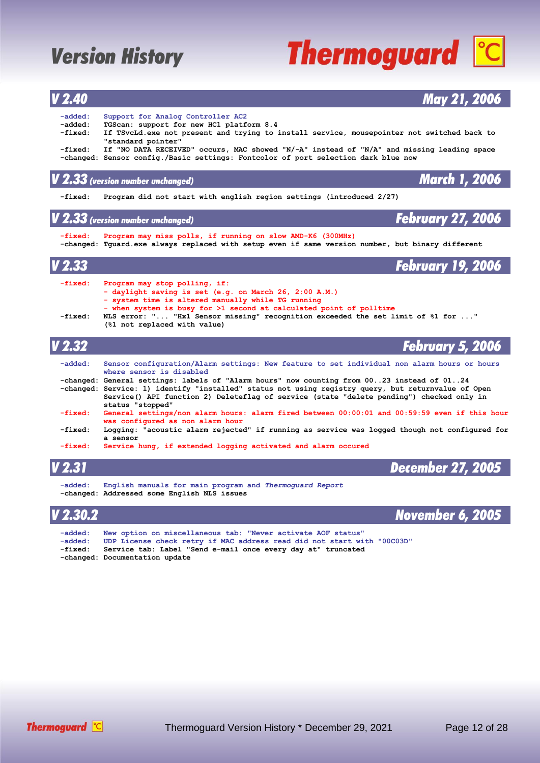### *V 2.40 May 21, 2006*  **-added: Support for Analog Controller AC2 -added: TGScan: support for new HC1 platform 8.4** If TSvcLd.exe not present and trying to install service, mousepointer not switched back to  **"standard pointer" -fixed: If "NO DATA RECEIVED" occurs, MAC showed "N/-A" instead of "N/A" and missing leading space -changed: Sensor config./Basic settings: Fontcolor of port selection dark blue now** *V 2.33 (version number unchanged) March 1, 2006*  **-fixed: Program did not start with english region settings (introduced 2/27)** *V 2.33 (version number unchanged) February 27, 2006*  **-fixed: Program may miss polls, if running on slow AMD-K6 (300MHz) -changed: Tguard.exe always replaced with setup even if same version number, but binary different** *V 2.33 February 19, 2006*  **-fixed: Program may stop polling, if: - daylight saving is set (e.g. on March 26, 2:00 A.M.) - system time is altered manually while TG running - when system is busy for >1 second at calculated point of polltime -fixed: NLS error: "... "Hx1 Sensor missing" recognition exceeded the set limit of %1 for ..." (%1 not replaced with value)** *V 2.32 February 5, 2006*  **-added: Sensor configuration/Alarm settings: New feature to set individual non alarm hours or hours where sensor is disabled -changed: General settings: labels of "Alarm hours" now counting from 00..23 instead of 01..24 -changed: Service: 1) identify "installed" status not using registry query, but returnvalue of Open Service() API function 2) Deleteflag of service (state "delete pending") checked only in status "stopped"**



| $-fixed:$ | Service hung, if extended logging activated and alarm occured                                          |                   |
|-----------|--------------------------------------------------------------------------------------------------------|-------------------|
| V 2.31    |                                                                                                        | December 27, 2005 |
| $-added:$ | English manuals for main program and Thermoquard Report<br>-changed: Addressed some English NLS issues |                   |
| V 202     |                                                                                                        | Navombor 6 2005   |



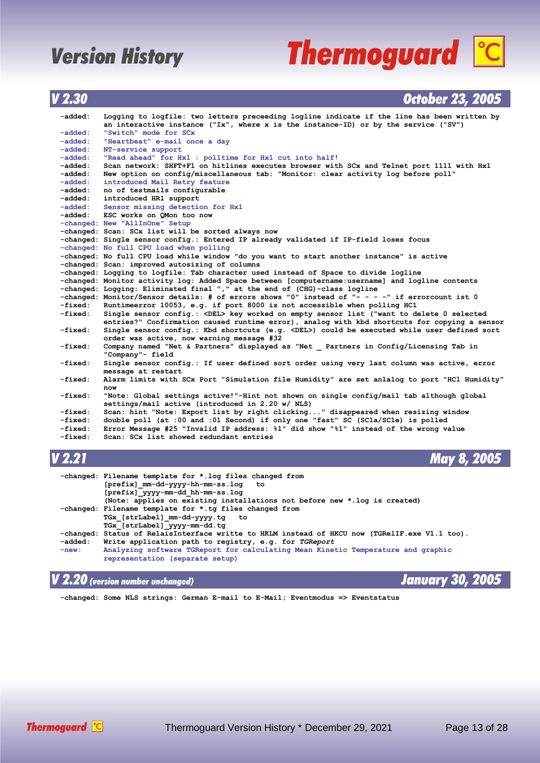## **Thermoguard C**

### *V 2.30 October 23, 2005*

| -added:   | Logging to logfile: two letters preceeding logline indicate if the line has been written by            |
|-----------|--------------------------------------------------------------------------------------------------------|
|           | an interactive instance ("Ix", where x is the instance-ID) or by the service ("SV")                    |
| -added:   | "Switch" mode for SCx                                                                                  |
| -added:   | "Heartbeat" e-mail once a day                                                                          |
| -added:   | NT-service support                                                                                     |
| -added:   | "Read ahead" for Hx1 : polltime for Hx1 cut into half!                                                 |
| -added:   | Scan network: SHFT+F1 on hitlines executes browser with SCx and Telnet port 1111 with Hx1              |
| -added:   | New option on config/miscellaneous tab: "Monitor: clear activity log before poll"                      |
| -added:   | introduced Mail Retry feature                                                                          |
| -added:   | no of testmails configurable                                                                           |
| -added:   | introduced HR1 support                                                                                 |
| -added:   | Sensor missing detection for Hx1                                                                       |
| -added:   | ESC works on OMon too now                                                                              |
|           | -changed: New "AllInOne" Setup                                                                         |
|           | -changed: Scan: SCx list will be sorted always now                                                     |
|           | -changed: Single sensor config.: Entered IP already validated if IP-field loses focus                  |
|           | -changed: No full CPU load when polling                                                                |
|           | -changed: No full CPU load while window "do you want to start another instance" is active              |
|           | -changed: Scan: improved autosizing of columns                                                         |
|           | -changed: Logging to logfile: Tab character used instead of Space to divide logline                    |
|           | -changed: Monitor activity log: Added Space between [computername:username] and logline contents       |
|           | -changed: Logging: Eliminated final "," at the end of (CHG)-class logline                              |
|           | -changed: Monitor/Sensor details: # of errors shows "0" instead of "- - - -" if errorcount ist 0       |
| -fixed:   | Runtimeerror 10053, e.g. if port 8000 is not accessible when polling HCl                               |
| -fixed:   | Single sensor config.: <del> key worked on empty sensor list ("want to delete 0 selected</del>         |
|           | entries?" Confirmation caused runtime error), analog with kbd shortcuts for copying a sensor           |
| -fixed:   | Single sensor config.: Kbd shortcuts (e.g. $\triangle$ DEL>) could be executed while user defined sort |
|           | order was active, now warning message #32                                                              |
| -fixed:   | Company named "Net & Partners" displayed as "Net Partners in Config/Licensing Tab in                   |
|           | "Company"- field                                                                                       |
| -fixed:   | Single sensor config.: If user defined sort order using very last column was active, error             |
|           | message at restart                                                                                     |
| -fixed:   | Alarm limits with SCx Port "Simulation file Humidity" are set anlalog to port "HC1 Humidity"           |
|           | now                                                                                                    |
| -fixed:   | "Note: Global settings active!"-Hint not shown on single config/mail tab although global               |
|           | settings/mail active (introduced in 2.20 w/ NLS)                                                       |
| -fixed:   | Scan: hint "Note: Export list by right clicking" disappeared when resizing window                      |
| $-fixed:$ | double poll (at :00 and :01 Second) if only one "fast" SC (SCla/SCle) is polled                        |
| -fixed:   | Error Message #25 "Invalid IP address: %1" did show "%1" instead of the wrong value                    |
| -fixed:   | Scan: SCx list showed redundant entries                                                                |
|           |                                                                                                        |

*V 2.21 May 8, 2005*

|         | -changed: Filename template for *.log files changed from<br>[prefix] mm-dd-yyyy-hh-mm-ss.log to |
|---------|-------------------------------------------------------------------------------------------------|
|         | [prefix] yyyy-mm-dd hh-mm-ss.log                                                                |
|         | (Note: applies on existing installations not before new *.log is created)                       |
|         | -changed: Filename template for *.tg files changed from                                         |
|         | TGx [strLabel] mm-dd-yyyy.tq to                                                                 |
|         | TGx [strLabel] yyyy-mm-dd.tq                                                                    |
|         | -changed: Status of RelaisInterface writte to HKLM instead of HKCU now (TGRelIF.exe V1.1 too).  |
| -added: | Write application path to registry, e.g. for TGReport                                           |
| $-new:$ | Analyzing software TGReport for calculating Mean Kinetic Temperature and graphic                |
|         | representation (separate setup)                                                                 |

### *V 2.20 (version number unchanged) January 30, 2005*

 **-changed: Some NLS strings: German E-mail to E-Mail; Eventmodus => Eventstatus**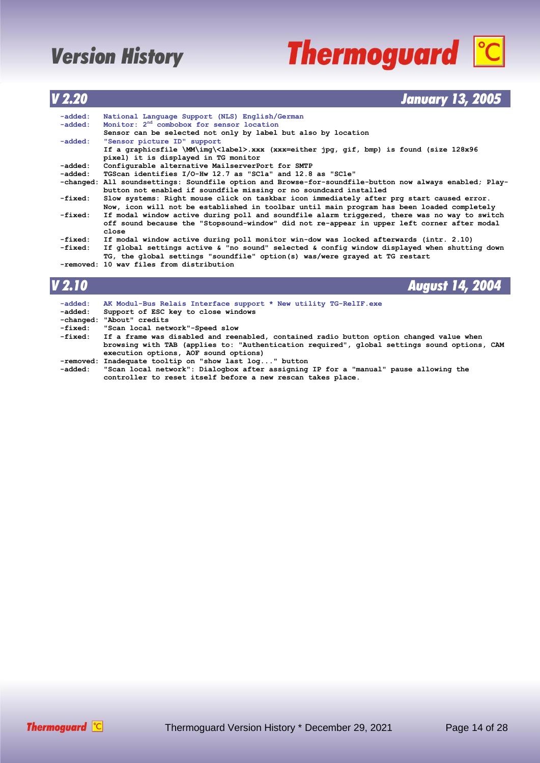# **Thermoguard C**

### *V 2.20 January 13, 2005*

| $-added:$ | National Language Support (NLS) English/German                                                          |
|-----------|---------------------------------------------------------------------------------------------------------|
| $-added:$ | Monitor: 2 <sup>nd</sup> combobox for sensor location                                                   |
|           | Sensor can be selected not only by label but also by location                                           |
| $-added:$ | "Sensor picture ID" support                                                                             |
|           | If a graphicsfile \MM\img\ <label>.xxx (xxx=either jpg, gif, bmp) is found (size 128x96</label>         |
|           | pixel) it is displayed in TG monitor                                                                    |
| -added:   | Configurable alternative MailserverPort for SMTP                                                        |
| -added:   | TGScan identifies I/O-Hw 12.7 as "SC1a" and 12.8 as "SC1e"                                              |
|           | -changed: All soundsettings: Soundfile option and Browse-for-soundfile-button now always enabled; Play- |
|           | button not enabled if soundfile missing or no soundcard installed                                       |
| -fixed:   | Slow systems: Right mouse click on taskbar icon immediately after prg start caused error.               |
|           | Now, icon will not be established in toolbar until main program has been loaded completely              |
| -fixed:   | If modal window active during poll and soundfile alarm triggered, there was no way to switch            |
|           | off sound because the "Stopsound-window" did not re-appear in upper left corner after modal             |
|           | close                                                                                                   |
| -fixed:   | If modal window active during poll monitor win-dow was locked afterwards (intr. 2.10)                   |
| -fixed:   | If global settings active & "no sound" selected & config window displayed when shutting down            |
|           | TG, the global settings "soundfile" option(s) was/were grayed at TG restart                             |
|           | -removed: 10 way files from distribution                                                                |
|           |                                                                                                         |
|           |                                                                                                         |
| V 2.10    | <b>August 14, 2004</b>                                                                                  |
|           |                                                                                                         |
| -added:   | AK Modul-Bus Relais Interface support * New utility TG-RelIF.exe                                        |
| -added:   | Support of ESC key to close windows                                                                     |

- **-changed: "About" credits**
- **-fixed: "Scan local network"-Speed slow**

 **-fixed: If a frame was disabled and reenabled, contained radio button option changed value when browsing with TAB (applies to: "Authentication required", global settings sound options, CAM execution options, AOF sound options) -removed: Inadequate tooltip on "show last log..." button**

 **-added: "Scan local network": Dialogbox after assigning IP for a "manual" pause allowing the controller to reset itself before a new rescan takes place.**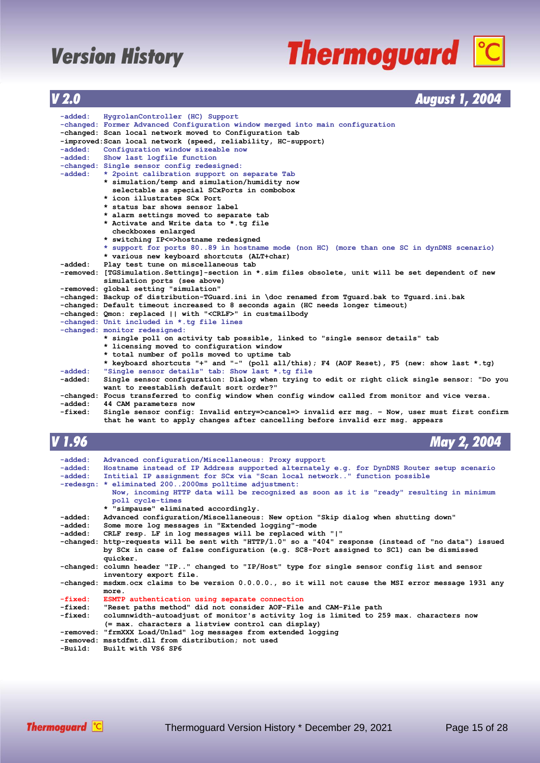# **Thermoguard C**

| V <sub>2.0</sub>   | <b>August 1, 2004</b>                                                                                                                     |
|--------------------|-------------------------------------------------------------------------------------------------------------------------------------------|
|                    |                                                                                                                                           |
| -added:            | HygrolanController (HC) Support                                                                                                           |
|                    | -changed: Former Advanced Configuration window merged into main configuration                                                             |
|                    | -changed: Scan local network moved to Configuration tab                                                                                   |
|                    | -improved: Scan local network (speed, reliability, HC-support)                                                                            |
| -added:            | Configuration window sizeable now                                                                                                         |
| -added:            | Show last logfile function                                                                                                                |
|                    | -changed: Single sensor config redesigned:                                                                                                |
| -added:            | * 2point calibration support on separate Tab                                                                                              |
|                    | * simulation/temp and simulation/humidity now                                                                                             |
|                    | selectable as special SCxPorts in combobox                                                                                                |
|                    | * icon illustrates SCx Port                                                                                                               |
|                    | * status bar shows sensor label                                                                                                           |
|                    | * alarm settings moved to separate tab                                                                                                    |
|                    | * Activate and Write data to *.tg file<br>checkboxes enlarged                                                                             |
|                    | * switching IP<=>hostname redesigned                                                                                                      |
|                    | * support for ports 8089 in hostname mode (non HC) (more than one SC in dynDNS scenario)                                                  |
|                    | * various new keyboard shortcuts (ALT+char)                                                                                               |
| -added:            | Play test tune on miscellaneous tab                                                                                                       |
|                    | -removed: [TGSimulation.Settings]-section in *.sim files obsolete, unit will be set dependent of new                                      |
|                    | simulation ports (see above)                                                                                                              |
|                    | -removed: global setting "simulation"                                                                                                     |
|                    | -changed: Backup of distribution-TGuard.ini in \doc renamed from Tquard.bak to Tquard.ini.bak                                             |
|                    | -changed: Default timeout increased to 8 seconds again (HC needs longer timeout)                                                          |
|                    | -changed: Qmon: replaced    with " <crlf>" in custmailbody</crlf>                                                                         |
|                    | -changed: Unit included in *.tg file lines                                                                                                |
|                    | -changed: monitor redesigned:                                                                                                             |
|                    | * single poll on activity tab possible, linked to "single sensor details" tab                                                             |
|                    | * licensing moved to configuration window                                                                                                 |
|                    | * total number of polls moved to uptime tab                                                                                               |
|                    | * keyboard shortcuts "+" and "-" (poll all/this); F4 (AOF Reset), F5 (new: show last *.tg)                                                |
| -added:            | "Single sensor details" tab: Show last *.tg file                                                                                          |
| -added:            | Single sensor configuration: Dialog when trying to edit or right click single sensor: "Do you<br>want to reestablish default sort order?" |
|                    | -changed: Focus transferred to config window when config window called from monitor and vice versa.                                       |
| -added:            | 44 CAM parameters now                                                                                                                     |
| -fixed:            | Single sensor config: Invalid entry=>cancel=> invalid err msg. - Now, user must first confirm                                             |
|                    | that he want to apply changes after cancelling before invalid err msg. appears                                                            |
|                    |                                                                                                                                           |
| V 1.96             | <b>May 2, 2004</b>                                                                                                                        |
|                    |                                                                                                                                           |
| -added:            | Advanced configuration/Miscellaneous: Proxy support                                                                                       |
| -added:            | Hostname instead of IP Address supported alternately e.g. for DynDNS Router setup scenario                                                |
| -added:            | Intitial IP assignment for SCx via "Scan local network" function possible                                                                 |
|                    | -redesgn: * eliminated 2002000ms polltime adjustment:                                                                                     |
|                    | Now, incoming HTTP data will be recognized as soon as it is "ready" resulting in minimum                                                  |
|                    | poll cycle-times                                                                                                                          |
|                    | * "simpause" eliminated accordingly.                                                                                                      |
| -added:            | Advanced configuration/Miscellaneous: New option "Skip dialog when shutting down"                                                         |
| -added:            | Some more log messages in "Extended logging"-mode                                                                                         |
| -added :           | CRLF resp. LF in log messages will be replaced with " "                                                                                   |
|                    | -changed: http-requests will be sent with "HTTP/1.0" so a "404" response (instead of "no data") issued                                    |
|                    | by SCx in case of false configuration (e.g. SC8-Port assigned to SC1) can be dismissed                                                    |
|                    | quicker.                                                                                                                                  |
|                    | -changed: column header "IP" changed to "IP/Host" type for single sensor config list and sensor                                           |
|                    | inventory export file.                                                                                                                    |
|                    | -changed: msdxm.ocx claims to be version 0.0.0.0., so it will not cause the MSI error message 1931 any                                    |
|                    | more.                                                                                                                                     |
| -fixed:<br>-fixed: | ESMTP authentication using separate connection<br>"Reset paths method" did not consider AOF-File and CAM-File path                        |
| $-$ fixed $\cdot$  | columnuidth-outcodiust of monitoria patiuity log is limited to 250 may shappators now                                                     |

- **-fixed: columnwidth-autoadjust of monitor's activity log is limited to 259 max. characters now (= max. characters a listview control can display)**
- **-removed: "frmXXX Load/Unlad" log messages from extended logging**
	- **-removed: msstdfmt.dll from distribution; not used**

```
 -Build: Built with VS6 SP6
```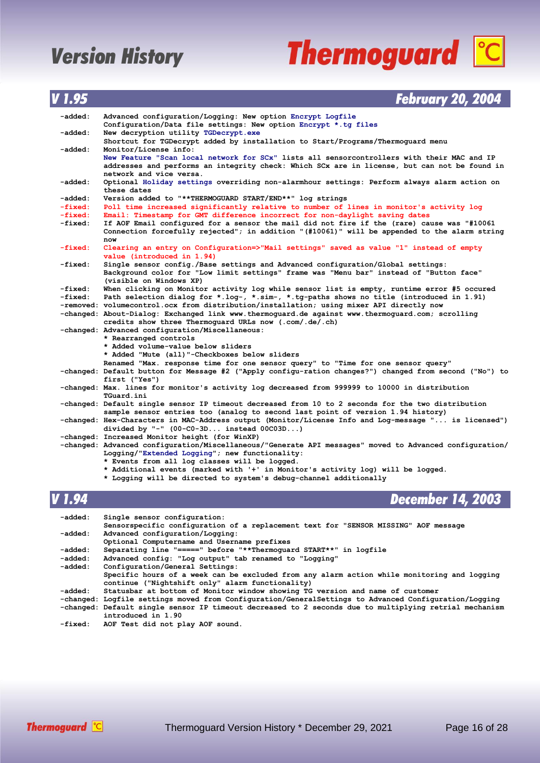# **Thermoguard C**

### *V 1.95 February 20, 2004*

| -added:   | Advanced configuration/Logging: New option Encrypt Logfile                                                                                                |
|-----------|-----------------------------------------------------------------------------------------------------------------------------------------------------------|
|           | Configuration/Data file settings: New option Encrypt *.tg files                                                                                           |
| -added:   | New decryption utility TGDecrypt.exe                                                                                                                      |
|           | Shortcut for TGDecrypt added by installation to Start/Programs/Thermoquard menu                                                                           |
| -added:   | Monitor/License info:                                                                                                                                     |
|           | New Feature "Scan local network for SCx" lists all sensorcontrollers with their MAC and IP                                                                |
|           | addresses and performs an integrity check: Which SCx are in license, but can not be found in                                                              |
|           | network and vice versa.                                                                                                                                   |
| -added:   | Optional Holiday settings overriding non-alarmhour settings: Perform always alarm action on                                                               |
|           | these dates                                                                                                                                               |
| -added:   | Version added to "**THERMOGUARD START/END**" log strings                                                                                                  |
| $-fixed:$ | Poll time increased significantly relative to number of lines in monitor's activity log                                                                   |
| $-fixed:$ | Email: Timestamp for GMT difference incorrect for non-daylight saving dates                                                                               |
| -fixed:   | If AOF Email configured for a sensor the mail did not fire if the (rare) cause was "#10061                                                                |
|           | Connection forcefully rejected"; in addition "(#10061)" will be appended to the alarm string                                                              |
|           | now                                                                                                                                                       |
| -fixed:   | Clearing an entry on Configuration=>"Mail settings" saved as value "1" instead of empty                                                                   |
|           | value (introduced in 1.94)                                                                                                                                |
| -fixed:   | Single sensor config./Base settings and Advanced configuration/Global settings:                                                                           |
|           | Background color for "Low limit settings" frame was "Menu bar" instead of "Button face"                                                                   |
|           | (visible on Windows XP)                                                                                                                                   |
| -fixed:   | When clicking on Monitor activity log while sensor list is empty, runtime error #5 occured                                                                |
| -fixed:   | Path selection dialog for *.log-, *.sim-, *.tg-paths shows no title (introduced in 1.91)                                                                  |
|           | -removed: volumecontrol.ocx from distribution/installation; using mixer API directly now                                                                  |
|           | -changed: About-Dialog: Exchanged link www.thermoguard.de against www.thermoguard.com; scrolling                                                          |
|           | credits show three Thermoquard URLs now (.com/.de/.ch)                                                                                                    |
|           | -changed: Advanced configuration/Miscellaneous:                                                                                                           |
|           | * Rearranged controls                                                                                                                                     |
|           | * Added volume-value below sliders                                                                                                                        |
|           | * Added "Mute (all)"-Checkboxes below sliders                                                                                                             |
|           | Renamed "Max. response time for one sensor query" to "Time for one sensor query"                                                                          |
|           | -changed: Default button for Message #2 ("Apply configu-ration changes?") changed from second ("No") to                                                   |
|           | first ("Yes")                                                                                                                                             |
|           | -changed: Max. lines for monitor's activity log decreased from 999999 to 10000 in distribution                                                            |
|           | TGuard.ini                                                                                                                                                |
|           | -changed: Default single sensor IP timeout decreased from 10 to 2 seconds for the two distribution                                                        |
|           | sample sensor entries too (analog to second last point of version 1.94 history)                                                                           |
|           | -changed: Hex-Characters in MAC-Address output (Monitor/License Info and Log-message " is licensed")                                                      |
|           | divided by "-" $(00-C0-3D$ instead $00C03D$ )                                                                                                             |
|           | -changed: Increased Monitor height (for WinXP)<br>-changed: Advanced configuration/Miscellaneous/"Generate API messages" moved to Advanced configuration/ |
|           | Logging/"Extended Logging"; new functionality:                                                                                                            |
|           | * Events from all log classes will be logged.                                                                                                             |
|           | * Additional events (marked with '+' in Monitor's activity log) will be logged.                                                                           |
|           | * Logging will be directed to system's debug-channel additionally                                                                                         |
|           |                                                                                                                                                           |

*V 1.94 December 14, 2003*

| -added: | Single sensor configuration:                                                                           |
|---------|--------------------------------------------------------------------------------------------------------|
|         | Sensorspecific configuration of a replacement text for "SENSOR MISSING" AOF message                    |
| -added: | Advanced configuration/Logging:                                                                        |
|         | Optional Computername and Username prefixes                                                            |
| -added: | Separating line "=====" before "**Thermoquard START**" in logfile                                      |
| -added: | Advanced config: "Log output" tab renamed to "Logging"                                                 |
| -added: | Configuration/General Settings:                                                                        |
|         | Specific hours of a week can be excluded from any alarm action while monitoring and logging            |
|         | continue ("Nightshift only" alarm functionality)                                                       |
| -added: | Statusbar at bottom of Monitor window showing TG version and name of customer                          |
|         | -changed: Logfile settings moved from Configuration/GeneralSettings to Advanced Configuration/Logging  |
|         | -changed: Default single sensor IP timeout decreased to 2 seconds due to multiplying retrial mechanism |
|         | introduced in 1.90                                                                                     |
| -fixed: | AOF Test did not play AOF sound.                                                                       |
|         |                                                                                                        |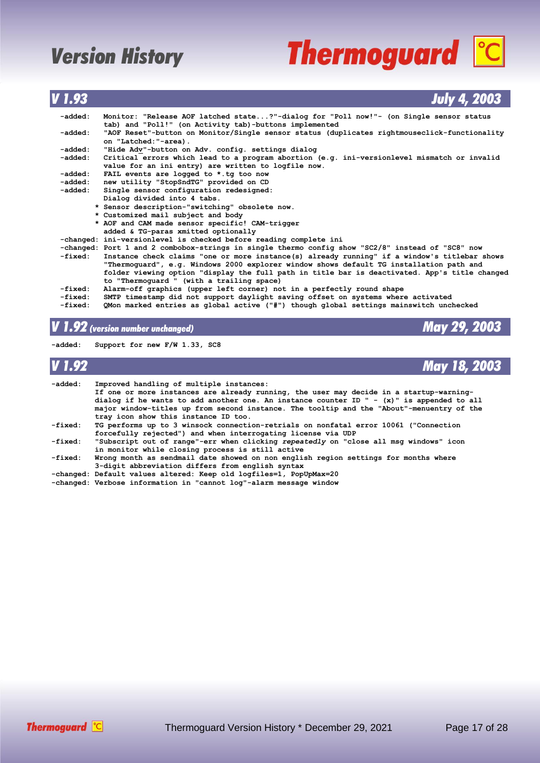# **Thermoguard C**

*V 1.93 July 4, 2003*

| -added: |         | Monitor: "Release AOF latched state?"-dialog for "Poll now!"- (on Single sensor status<br>tab) and "Poll!" (on Activity tab)-buttons implemented |
|---------|---------|--------------------------------------------------------------------------------------------------------------------------------------------------|
| -added: |         | "AOF Reset"-button on Monitor/Single sensor status (duplicates rightmouseclick-functionality<br>on "Latched: "-area).                            |
| -added: |         | "Hide Adv"-button on Adv. config. settings dialog                                                                                                |
| -added: |         | Critical errors which lead to a program abortion (e.g. ini-versionlevel mismatch or invalid                                                      |
|         |         | value for an ini entry) are written to logfile now.                                                                                              |
| -added: |         | FAIL events are logged to *.tg too now                                                                                                           |
| -added: |         | new utility "StopSndTG" provided on CD                                                                                                           |
|         | -added: | Single sensor configuration redesigned:                                                                                                          |
|         |         | Dialog divided into 4 tabs.                                                                                                                      |
|         |         | * Sensor description-"switching" obsolete now.                                                                                                   |
|         |         | * Customized mail subject and body                                                                                                               |
|         |         | * AOF and CAM made sensor specific! CAM-trigger                                                                                                  |
|         |         | added & TG-paras xmitted optionally                                                                                                              |
|         |         | -changed: ini-versionlevel is checked before reading complete ini                                                                                |
|         |         | -changed: Port 1 and 2 combobox-strings in single thermo config show "SC2/8" instead of "SC8" now                                                |
|         | -fixed: | Instance check claims "one or more instance(s) already running" if a window's titlebar shows                                                     |
|         |         | "Thermoquard", e.g. Windows 2000 explorer window shows default TG installation path and                                                          |
|         |         | folder viewing option "display the full path in title bar is deactivated. App's title changed                                                    |
|         |         | to "Thermoquard " (with a trailing space)                                                                                                        |
| -fixed: |         | Alarm-off graphics (upper left corner) not in a perfectly round shape                                                                            |
| -fixed: |         | SMTP timestamp did not support daylight saving offset on systems where activated                                                                 |
| -fixed: |         | QMon marked entries as global active ("#") though global settings mainswitch unchecked                                                           |
|         |         |                                                                                                                                                  |

### *V 1.92 (version number unchanged) May 29, 2003*

**-added: Support for new F/W 1.33, SC8**

| V 1.92  | <b>May 18, 2003</b>                                                                                                                                                                                                                                                                                                                                                     |
|---------|-------------------------------------------------------------------------------------------------------------------------------------------------------------------------------------------------------------------------------------------------------------------------------------------------------------------------------------------------------------------------|
| -added: | Improved handling of multiple instances:<br>If one or more instances are already running, the user may decide in a startup-warning-<br>dialog if he wants to add another one. An instance counter ID $" - (x)"$ is appended to all<br>major window-titles up from second instance. The tooltip and the "About"-menuentry of the<br>tray icon show this instance ID too. |
| -fixed: | TG performs up to 3 winsock connection-retrials on nonfatal error 10061 ("Connection<br>forcefully rejected") and when interrogating license via UDP                                                                                                                                                                                                                    |
| -fixed: | "Subscript out of range"-err when clicking repeatedly on "close all msg windows" icon<br>in monitor while closing process is still active                                                                                                                                                                                                                               |
| -fixed: | Wrong month as sendmail date showed on non english region settings for months where<br>3-digit abbreviation differs from english syntax                                                                                                                                                                                                                                 |
|         | -changed: Default values altered: Keep old logfiles=1, PopUpMax=20<br>-changed: Verbose information in "cannot log"-alarm message window                                                                                                                                                                                                                                |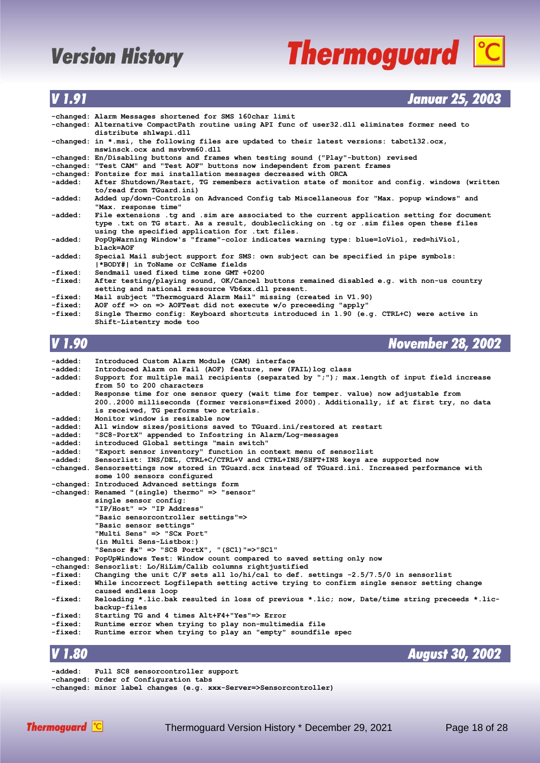# **Thermoguard C**

### *V 1.91 Januar 25, 2003*

|         | -changed: Alarm Messages shortened for SMS 160char limit                                                                                                                                                                                   |
|---------|--------------------------------------------------------------------------------------------------------------------------------------------------------------------------------------------------------------------------------------------|
|         | -changed: Alternative CompactPath routine using API func of user32.dll eliminates former need to<br>distribute shlwapi.dll                                                                                                                 |
|         | -changed: in *.msi, the following files are updated to their latest versions: tabctl32.ocx,<br>mswinsck.ocx and msybym60.dll                                                                                                               |
|         | -changed: En/Disabling buttons and frames when testing sound ("Play"-button) revised                                                                                                                                                       |
|         | -changed: "Test CAM" and "Test AOF" buttons now independent from parent frames                                                                                                                                                             |
|         | -changed: Fontsize for msi installation messages decreased with ORCA                                                                                                                                                                       |
|         | -added: After Shutdown/Restart, TG remembers activation state of monitor and config. windows (written<br>to/read from TGuard.ini)                                                                                                          |
| -added: | Added up/down-Controls on Advanced Config tab Miscellaneous for "Max. popup windows" and<br>"Max. response time"                                                                                                                           |
| -added: | File extensions .tg and .sim are associated to the current application setting for document<br>type .txt on TG start. As a result, doubleclicking on .tg or .sim files open these files<br>using the specified application for .txt files. |
| -added: | PopUpWarning Window's "frame"-color indicates warning type: blue=loViol, red=hiViol,<br>black=AOF                                                                                                                                          |
| -added: | Special Mail subject support for SMS: own subject can be specified in pipe symbols:<br> *BODY#  in ToName or CcName fields                                                                                                                 |
| -fixed: | Sendmail used fixed time zone GMT +0200                                                                                                                                                                                                    |
| -fixed: | After testing/playing sound, OK/Cancel buttons remained disabled e.g. with non-us country<br>setting and national ressource Vb6xx.dll present.                                                                                             |
| -fixed: | Mail subject "Thermoguard Alarm Mail" missing (created in V1.90)                                                                                                                                                                           |
| -fixed: | AOF off $\Rightarrow$ on $\Rightarrow$ AOFTest did not execute w/o preceeding "apply"                                                                                                                                                      |
| -fixed: | Single Thermo config: Keyboard shortcuts introduced in 1.90 (e.g. CTRL+C) were active in<br>Shift-Listentry mode too                                                                                                                       |

*V 1.90 November 28, 2002*

| -added: | Introduced Custom Alarm Module (CAM) interface                                                      |
|---------|-----------------------------------------------------------------------------------------------------|
| -added: | Introduced Alarm on Fail (AOF) feature, new (FAIL) log class                                        |
| -added: | Support for multiple mail recipients (separated by ";"); max.length of input field increase         |
|         | from 50 to 200 characters                                                                           |
| -added: | Response time for one sensor query (wait time for temper. value) now adjustable from                |
|         | 2002000 milliseconds (former versions=fixed 2000). Additionally, if at first try, no data           |
|         | is received, TG performs two retrials.                                                              |
| -added: | Monitor window is resizable now                                                                     |
| -added: | All window sizes/positions saved to TGuard.ini/restored at restart                                  |
| -added: | "SC8-PortX" appended to Infostring in Alarm/Log-messages                                            |
| -added: | introduced Global settings "main switch"                                                            |
| -added: | "Export sensor inventory" function in context menu of sensorlist                                    |
| -added: | Sensorlist: INS/DEL, CTRL+C/CTRL+V and CTRL+INS/SHFT+INS keys are supported now                     |
|         | -changed. Sensorsettings now stored in TGuard.scx instead of TGuard.ini. Increased performance with |
|         | some 100 sensors configured                                                                         |
|         | -changed: Introduced Advanced settings form                                                         |
|         | -changed: Renamed "(single) thermo" => "sensor"                                                     |
|         | single sensor config:                                                                               |
|         | "IP/Host" => "IP Address"                                                                           |
|         | "Basic sensorcontroller settings"=>                                                                 |
|         | "Basic sensor settings"                                                                             |
|         | "Multi Sens" => "SCx Port"                                                                          |
|         | (in Multi Sens-Listbox:)                                                                            |
|         | "Sensor $\#x$ " => "SC8 PortX", "(SC1)"=>"SC1"                                                      |
|         | -changed: PopUpWindows Test: Window count compared to saved setting only now                        |
|         | -changed: Sensorlist: Lo/HiLim/Calib columns rightjustified                                         |
| -fixed: | Changing the unit $C/F$ sets all lo/hi/cal to def. settings -2.5/7.5/0 in sensorlist                |
| -fixed: | While incorrect Logfilepath setting active trying to confirm single sensor setting change           |
|         | caused endless loop                                                                                 |
| -fixed: | Reloading *.lic.bak resulted in loss of previous *.lic; now, Date/time string preceeds *.lic-       |
|         | backup-files                                                                                        |
| -fixed: | Starting TG and 4 times Alt+F4+"Yes"=> Error                                                        |
| -fixed: | Runtime error when trying to play non-multimedia file                                               |
| -fixed: | Runtime error when trying to play an "empty" soundfile spec                                         |
|         |                                                                                                     |

### *V 1.80 August 30, 2002*

**-added: Full SC8 sensorcontroller support -changed: Order of Configuration tabs -changed: minor label changes (e.g. xxx-Server=>Sensorcontroller)**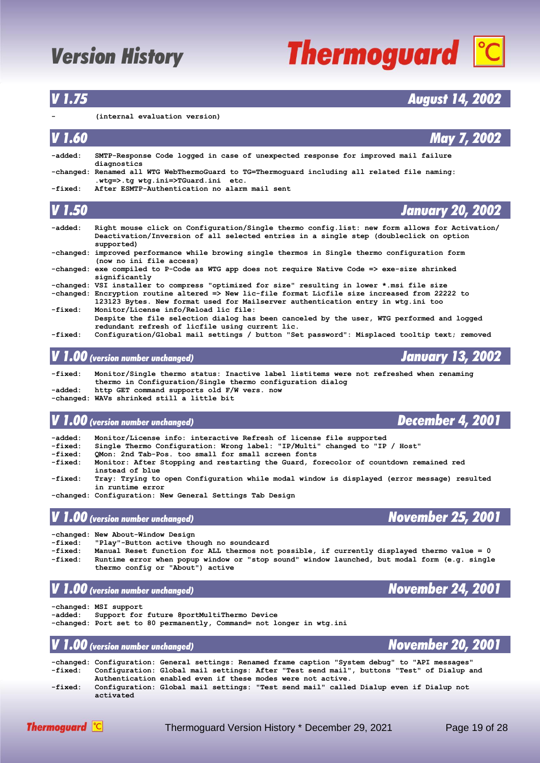# **Thermoguard C**

### *V 1.75 August 14, 2002*

#### **- (internal evaluation version)**

| V 1.60            | May 7, 2002                                                                                                                                                                                           |
|-------------------|-------------------------------------------------------------------------------------------------------------------------------------------------------------------------------------------------------|
| -added:           | SMTP-Response Code logged in case of unexpected response for improved mail failure<br>diagnostics                                                                                                     |
|                   | -changed: Renamed all WTG WebThermoGuard to TG=Thermoguard including all related file naming:<br>.wtq=>.tq wtq.ini=>TGuard.ini etc.                                                                   |
| -fixed:           | After ESMTP-Authentication no alarm mail sent                                                                                                                                                         |
| V <sub>1.50</sub> | <b>January 20, 2002</b>                                                                                                                                                                               |
| -added:           | Right mouse click on Configuration/Single thermo config.list: new form allows for Activation/<br>Deactivation/Inversion of all selected entries in a single step (doubleclick on option<br>supported) |
|                   | -changed: improved performance while browing single thermos in Single thermo configuration form<br>(now no ini file access)                                                                           |

**-changed: exe compiled to P-Code as WTG app does not require Native Code => exe-size shrinked significantly**

|         | -changed: VSI installer to compress "optimized for size" resulting in lower *.msi file size      |
|---------|--------------------------------------------------------------------------------------------------|
|         | -changed: Encryption routine altered => New lic-file format Licfile size increased from 22222 to |
|         | 123123 Bytes. New format used for Mailserver authentication entry in wtg.ini too                 |
| -fixed: | Monitor/License info/Reload lic file:                                                            |
|         | Despite the file selection dialog has been canceled by the user, WTG performed and logged        |
|         | redundant refresh of licfile using current lic.                                                  |

**-fixed: Configuration/Global mail settings / button "Set password": Misplaced tooltip text; removed**

### *V 1.00 (version number unchanged) January 13, 2002*

**-fixed: Monitor/Single thermo status: Inactive label listitems were not refreshed when renaming thermo in Configuration/Single thermo configuration dialog -added: http GET command supports old F/W vers. now -changed: WAVs shrinked still a little bit**

### *V 1.00 (version number unchanged) December 4, 2001*

- **-added: Monitor/License info: interactive Refresh of license file supported**
- **-fixed: Single Thermo Configuration: Wrong label: "IP/Multi" changed to "IP / Host"**
- **-fixed: QMon: 2nd Tab-Pos. too small for small screen fonts**
- **-fixed: Monitor: After Stopping and restarting the Guard, forecolor of countdown remained red instead of blue**
- **-fixed: Tray: Trying to open Configuration while modal window is displayed (error message) resulted in runtime error**
- **-changed: Configuration: New General Settings Tab Design**

### *V 1.00 (version number unchanged) November 25, 2001*

**-changed: New About-Window Design**

- **-fixed: "Play"-Button active though no soundcard**
- **-fixed: Manual Reset function for ALL thermos not possible, if currently displayed thermo value = 0 -fixed: Runtime error when popup window or "stop sound" window launched, but modal form (e.g. single thermo config or "About") active**

### *V 1.00 (version number unchanged) November 24, 2001*

**-changed: MSI support** Support for future 8portMultiThermo Device **-changed: Port set to 80 permanently, Command= not longer in wtg.ini**

### *V 1.00 (version number unchanged) November 20, 2001*

**-changed: Configuration: General settings: Renamed frame caption "System debug" to "API messages" -fixed: Configuration: Global mail settings: After "Test send mail", buttons "Test" of Dialup and Authentication enabled even if these modes were not active. -fixed: Configuration: Global mail settings: "Test send mail" called Dialup even if Dialup not activated**

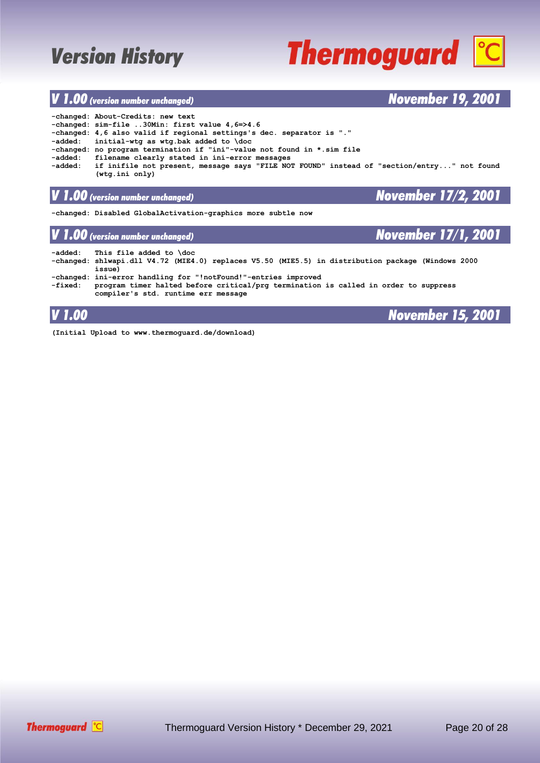# **Thermoguard C**

### *V 1.00 (version number unchanged) November 19, 2001*

|         | -changed: About-Credits: new text                                                          |
|---------|--------------------------------------------------------------------------------------------|
|         | -changed: sim-file 30Min: first value 4,6=>4.6                                             |
|         | -changed: 4,6 also valid if regional settings's dec. separator is "."                      |
|         | $-added: initial-wtq as wtq.bak added to \ddot{o}$                                         |
|         | -changed: no program termination if "ini"-value not found in *.sim file                    |
|         | -added: filename clearly stated in ini-error messages                                      |
| -added: | if inifile not present, message says "FILE NOT FOUND" instead of "section/entry" not found |
|         | (wta.ini only)                                                                             |

### *V 1.00 (version number unchanged) November 17/2, 2001*

**-changed: Disabled GlobalActivation-graphics more subtle now**

### *V 1.00 (version number unchanged) November 17/1, 2001*

| -added: | This file added to \doc<br>changed: shlwapi.dll V4.72 (MIE4.0) replaces V5.50 (MIE5.5) in distribution package (Windows 2000-<br>issue)                                                      |
|---------|----------------------------------------------------------------------------------------------------------------------------------------------------------------------------------------------|
| -fixed: | -changed: ini-error handling for "!notFound!"-entries improved<br>program timer halted before critical/prg termination is called in order to suppress<br>compiler's std. runtime err message |

### *V 1.00 November 15, 2001*

**(Initial Upload to www.thermoguard.de/download)**

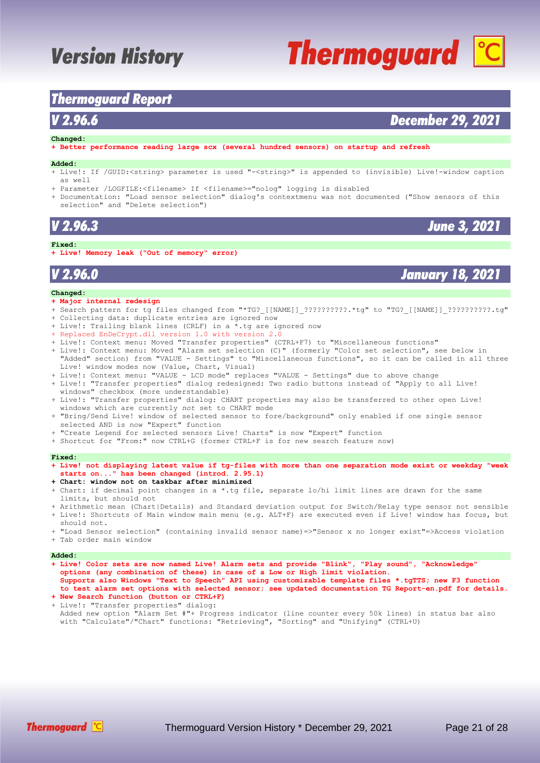### <span id="page-20-0"></span>*Thermoguard Report*

### *V 2.96.6 December 29, 2021*

#### **Changed:**

**+ Better performance reading large scx (several hundred sensors) on startup and refresh**

#### **Added:**

- + Live!: If /GUID:<string> parameter is used "-<string>" is appended to (invisible) Live!-window caption as well
- + Parameter /LOGFILE:<filename> If <filename>="nolog" logging is disabled
- + Documentation: "Load sensor selection" dialog's contextmenu was not documented ("Show sensors of this selection" and "Delete selection")

### *V 2.96.3 June 3, 2021*

#### **Fixed:**

**+ Live! Memory leak ("Out of memory" error)**

#### **Changed:**

- **+ Major internal redesign**
- + Search pattern for tg files changed from "\*TG?\_[[NAME]]\_??????????.\*tg" to "TG?\_[[NAME]]\_??????????.tg" + Collecting data: duplicate entries are ignored now
- + Live!: Trailing blank lines (CRLF) in a \*.tg are ignored now
- + Replaced EnDeCrypt.dll version 1.0 with version 2.0
- + Live!: Context menu: Moved "Transfer properties" (CTRL+F7) to "Miscellaneous functions"
- + Live!: Context menu: Moved "Alarm set selection (C)" (formerly "Color set selection", see below in "Added" section) from "VALUE - Settings" to "Miscellaneous functions", so it can be called in all three Live! window modes now (Value, Chart, Visual)
- + Live!: Context menu: "VALUE LCD mode" replaces "VALUE Settings" due to above change + Live!: "Transfer properties" dialog redesigned: Two radio buttons instead of "Apply to all Live!
- windows" checkbox (more understandable)
- + Live!: "Transfer properties" dialog: CHART properties may also be transferred to other open Live! windows which are currently *not* set to CHART mode
- + "Bring/Send Live! window of selected sensor to fore/background" only enabled if one single sensor selected AND is now "Expert" function
- "Create Legend for selected sensors Live! Charts" is now "Expert" function
- + Shortcut for "From:" now CTRL+G (former CTRL+F is for new search feature now)

#### **Fixed:**

- **+ Live! not displaying latest value if tg-files with more than one separation mode exist or weekday "week starts on..." has been changed (introd. 2.95.1)**
- **+ Chart: window not on taskbar after minimized**
- + Chart: if decimal point changes in a \*.tg file, separate lo/hi limit lines are drawn for the same limits, but should not
- + Arithmetic mean (Chart|Details) and Standard deviation output for Switch/Relay type sensor not sensible + Live!: Shortcuts of Main window main menu (e.g. ALT+F) are executed even if Live! window has focus, but should not.
- + "Load Sensor selection" (containing invalid sensor name)=>"Sensor x no longer exist"=>Access violation + Tab order main window

#### **Added:**

- **+ Live! Color sets are now named Live! Alarm sets and provide "Blink", "Play sound", "Acknowledge" options (any combination of these) in case of a Low or High limit violation. Supports also Windows "Text to Speech" API using customizable template files \*.tgTTS; new F3 function to test alarm set options with selected sensor; see updated documentation TG Report-en.pdf for details.**
- **+ New Search function (button or CTRL+F)** + Live!: "Transfer properties" dialog: Added new option "Alarm Set #"+ Progress indicator (line counter every 50k lines) in status bar also with "Calculate"/"Chart" functions: "Retrieving", "Sorting" and "Unifying" (CTRL+U)



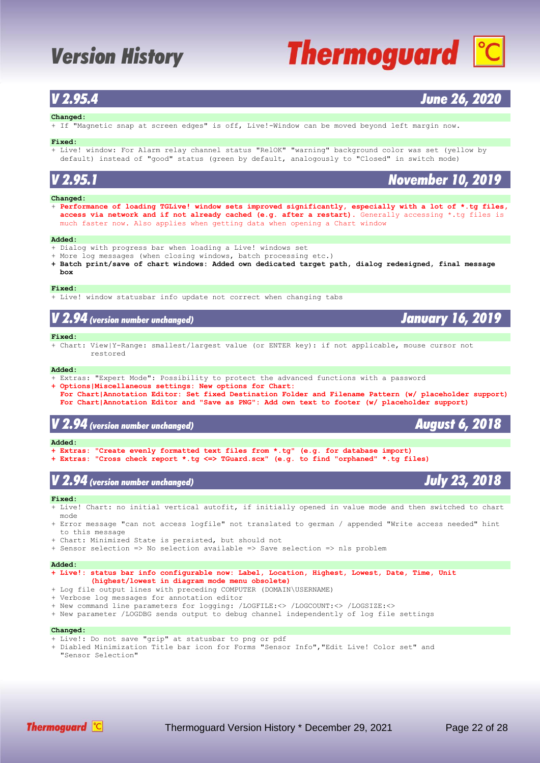# **Thermoguard C**

### *V 2.95.4 June 26, 2020*

#### **Changed:**

+ If "Magnetic snap at screen edges" is off, Live!-Window can be moved beyond left margin now.

#### **Fixed:**

+ Live! window: For Alarm relay channel status "RelOK" "warning" background color was set (yellow by default) instead of "good" status (green by default, analogously to "Closed" in switch mode)

### *V 2.95.1 November 10, 2019*

#### **Changed:**

+ **Performance of loading TGLive! window sets improved significantly, especially with a lot of \*.tg files, access via network and if not already cached (e.g. after a restart).** Generally accessing \*.tg files is much faster now. Also applies when getting data when opening a Chart window

#### **Added:**

- + Dialog with progress bar when loading a Live! windows set
- + More log messages (when closing windows, batch processing etc.)
- **+ Batch print/save of chart windows: Added own dedicated target path, dialog redesigned, final message box**

#### **Fixed:**

+ Live! window statusbar info update not correct when changing tabs

### *V 2.94 (version number unchanged) January 16, 2019*

#### **Fixed:**

+ Chart: View|Y-Range: smallest/largest value (or ENTER key): if not applicable, mouse cursor not restored

#### **Added:**

- + Extras: "Expert Mode": Possibility to protect the advanced functions with a password
- **+ Options|Miscellaneous settings: New options for Chart:**
- **For Chart|Annotation Editor: Set fixed Destination Folder and Filename Pattern (w/ placeholder support) For Chart|Annotation Editor and "Save as PNG": Add own text to footer (w/ placeholder support)**

### *V 2.94 (version number unchanged) August 6, 2018*

#### **Added:**

- **+ Extras: "Create evenly formatted text files from \*.tg" (e.g. for database import)**
- **+ Extras: "Cross check report \*.tg <=> TGuard.scx" (e.g. to find "orphaned" \*.tg files)**

### *V 2.94 (version number unchanged) July 23, 2018*

#### **Fixed:**

- + Live! Chart: no initial vertical autofit, if initially opened in value mode and then switched to chart mode
- + Error message "can not access logfile" not translated to german / appended "Write access needed" hint to this message
- + Chart: Minimized State is persisted, but should not
- + Sensor selection => No selection available => Save selection => nls problem

#### **Added:**

- **+ Live!: status bar info configurable now: Label, Location, Highest, Lowest, Date, Time, Unit (highest/lowest in diagram mode menu obsolete)**
- + Log file output lines with preceding COMPUTER (DOMAIN\USERNAME)
- + Verbose log messages for annotation editor
- + New command line parameters for logging: /LOGFILE:<> /LOGCOUNT:<> /LOGSIZE:<>
- + New parameter /LOGDBG sends output to debug channel independently of log file settings

#### **Changed:**

- + Live!: Do not save "grip" at statusbar to png or pdf
- + Diabled Minimization Title bar icon for Forms "Sensor Info","Edit Live! Color set" and "Sensor Selection"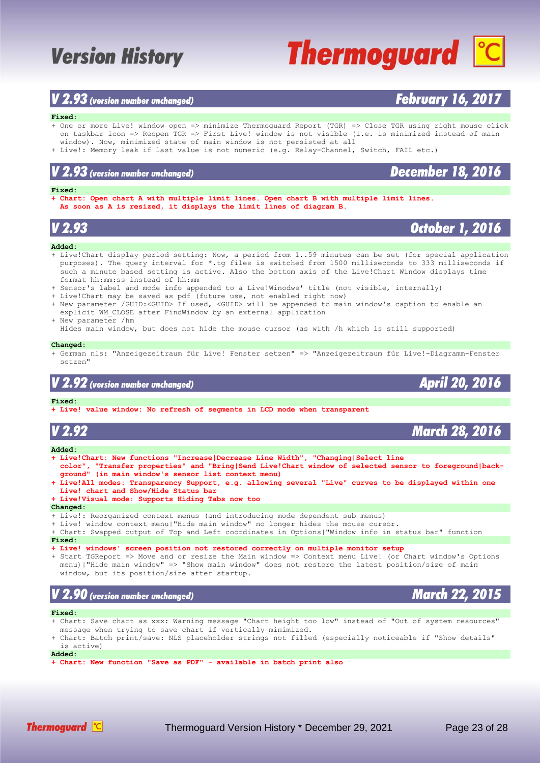### *V 2.93 (version number unchanged) February 16, 2017*

#### **Fixed:**

- + One or more Live! window open => minimize Thermoguard Report (TGR) => Close TGR using right mouse click on taskbar icon => Reopen TGR => First Live! window is not visible (i.e. is minimized instead of main window). Now, minimized state of main window is not persisted at all
- + Live!: Memory leak if last value is not numeric (e.g. Relay-Channel, Switch, FAIL etc.)

#### **Fixed:**

**+ Chart: Open chart A with multiple limit lines. Open chart B with multiple limit lines. As soon as A is resized, it displays the limit lines of diagram B.**

### **Added:**

- + Live!Chart display period setting: Now, a period from 1..59 minutes can be set (for special application purposes). The query interval for \*.tg files is switched from 1500 milliseconds to 333 milliseconds if such a minute based setting is active. Also the bottom axis of the Live!Chart Window displays time format hh:mm:ss instead of hh:mm
- + Sensor's label and mode info appended to a Live!Winodws' title (not visible, internally)
- + Live!Chart may be saved as pdf (future use, not enabled right now)
- + New parameter /GUID:<GUID> If used, <GUID> will be appended to main window's caption to enable an explicit WM\_CLOSE after FindWindow by an external application
- + New parameter /hm Hides main window, but does not hide the mouse cursor (as with /h which is still supported)

#### **Changed:**

+ German nls: "Anzeigezeitraum für Live! Fenster setzen" => "Anzeigezeitraum für Live!-Diagramm-Fenster setzen"

### *V 2.92 (version number unchanged) April 20, 2016*

#### **Fixed:**

**+ Live! value window: No refresh of segments in LCD mode when transparent**

| V 2.92                                                                                                                                                                                                                                                                                                                                                                                                                                                   | <b>March 28, 2016</b> |
|----------------------------------------------------------------------------------------------------------------------------------------------------------------------------------------------------------------------------------------------------------------------------------------------------------------------------------------------------------------------------------------------------------------------------------------------------------|-----------------------|
| Added:                                                                                                                                                                                                                                                                                                                                                                                                                                                   |                       |
| + Live!Chart: New functions "Increase Decrease Line Width", "Changing Select line<br>color", "Transfer properties" and "Bring Send Live!Chart window of selected sensor to foreground back-<br>ground" (in main window's sensor list context menu)<br>+ Live!All modes: Transparency Support, e.g. allowing several "Live" curves to be displayed within one<br>Live! chart and Show/Hide Status bar<br>+ Live!Visual mode: Supports Hiding Tabs now too |                       |
| Changed:                                                                                                                                                                                                                                                                                                                                                                                                                                                 |                       |
| + Live!: Reorganized context menus (and introducing mode dependent sub menus)<br>+ Live! window context menu "Hide main window" no longer hides the mouse cursor.<br>+ Chart: Swapped output of Top and Left coordinates in Options "Window info in status bar" function<br><b>Fixed:</b><br>+ Live! windows' screen position not restored correctly on multiple monitor setup                                                                           |                       |
| + Start TGReport => Move and or resize the Main window => Context menu Live! (or Chart window's Options<br>menu)   "Hide main window" => "Show main window" does not restore the latest position/size of main<br>window, but its position/size after startup.                                                                                                                                                                                            |                       |
| $V$ 2.90 (version number unchanged)                                                                                                                                                                                                                                                                                                                                                                                                                      | <b>March 22, 2015</b> |
| Fixed:                                                                                                                                                                                                                                                                                                                                                                                                                                                   |                       |
| + Chart: Save chart as xxx: Warning message "Chart height too low" instead of "Out of system resources"<br>message when trying to save chart if vertically minimized.<br>a channa maratha an Anna ann chuidhean ann an ain an chuid a fainn an an an ainm an an an aichean ainm an aich                                                                                                                                                                  |                       |

Chart: Batch print/save: NLS placeholder strings not filled (especially noticeable if "Show details is active)

**Added:**

**+ Chart: New function "Save as PDF" - available in batch print also**



*V 2.93 October 1, 2016*

### *V 2.93 (version number unchanged) December 18, 2016*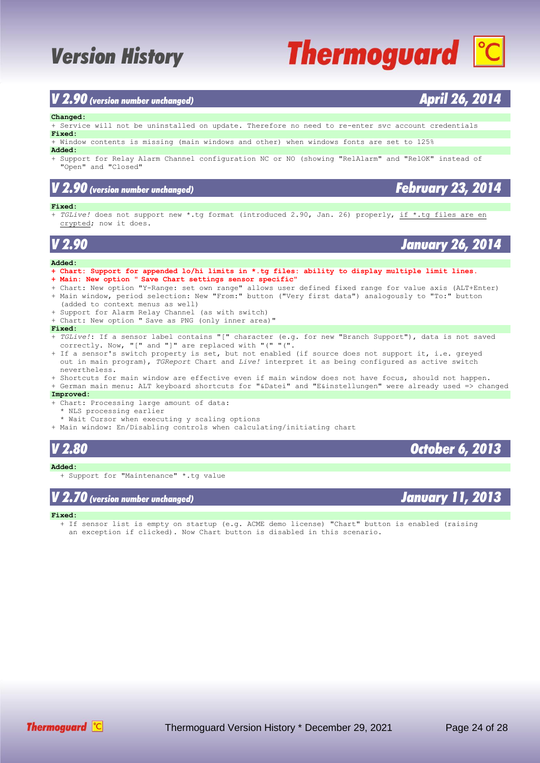### *V 2.90 (version number unchanged) April 26, 2014*

#### **Changed:**

+ Service will not be uninstalled on update. Therefore no need to re-enter svc account credentials **Fixed:**

+ Window contents is missing (main windows and other) when windows fonts are set to 125%

#### **Added:**

+ Support for Relay Alarm Channel configuration NC or NO (showing "RelAlarm" and "RelOK" instead of "Open" and "Closed"

### *V 2.90 (version number unchanged) February 23, 2014*

#### **Fixed:**

+ *TGLive!* does not support new \*.tg format (introduced 2.90, Jan. 26) properly, if \*.tg files are en crypted; now it does.

*V 2.90 January 26, 2014*

#### **Added:**

- **+ Chart: Support for appended lo/hi limits in \*.tg files: ability to display multiple limit lines.**
- **+ Main: New option " Save Chart settings sensor specific"**
- + Chart: New option "Y-Range: set own range" allows user defined fixed range for value axis (ALT+Enter) + Main window, period selection: New "From:" button ("Very first data") analogously to "To:" button
- (added to context menus as well) + Support for Alarm Relay Channel (as with switch)
- + Chart: New option " Save as PNG (only inner area)"

#### **Fixed:**

- + *TGLive!*: If a sensor label contains "[" character (e.g. for new "Branch Support"), data is not saved correctly. Now, "[" and "]" are replaced with "(" "(".
- + If a sensor's switch property is set, but not enabled (if source does not support it, i.e. greyed out in main program), *TGReport* Chart and *Live!* interpret it as being configured as active switch nevertheless.
- + Shortcuts for main window are effective even if main window does not have focus, should not happen. + German main menu: ALT keyboard shortcuts for "&Datei" and "E&instellungen" were already used => changed

#### **Improved:**

- + Chart: Processing large amount of data:
	- \* NLS processing earlier
	- \* Wait Cursor when executing y scaling options
- + Main window: En/Disabling controls when calculating/initiating chart

### **Added:**

+ Support for "Maintenance" \*.tg value

### *V 2.70 (version number unchanged) January 11, 2013*

#### **Fixed:**

- If sensor list is empty on startup (e.g. ACME demo license) "Chart" button is enabled (raising
- an exception if clicked). Now Chart button is disabled in this scenario.



*V 2.80 October 6, 2013*

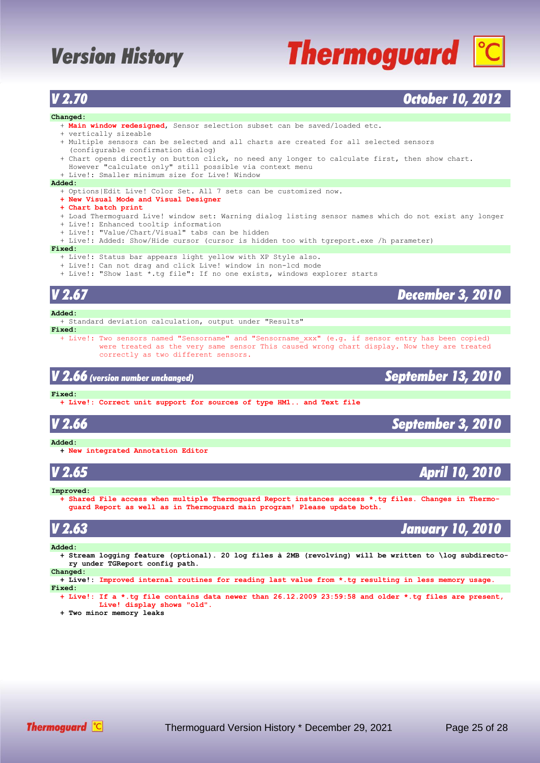# **Thermoguard C**

### *V 2.70 October 10, 2012*

### **Changed:**

- + **Main window redesigned**, Sensor selection subset can be saved/loaded etc.
- + vertically sizeable
- + Multiple sensors can be selected and all charts are created for all selected sensors (configurable confirmation dialog)
- + Chart opens directly on button click, no need any longer to calculate first, then show chart. However "calculate only" still possible via context menu
	- + Live!: Smaller minimum size for Live! Window

#### **Added:**

- + Options|Edit Live! Color Set. All 7 sets can be customized now.
- **+ New Visual Mode and Visual Designer**
- **+ Chart batch print**
- + Load Thermoguard Live! window set: Warning dialog listing sensor names which do not exist any longer
- + Live!: Enhanced tooltip information
- + Live!: "Value/Chart/Visual" tabs can be hidden
- + Live!: Added: Show/Hide cursor (cursor is hidden too with tgreport.exe /h parameter)

#### **Fixed:**

- + Live!: Status bar appears light yellow with XP Style also.
- + Live!: Can not drag and click Live! window in non-lcd mode
- + Live!: "Show last \*.tg file": If no one exists, windows explorer starts

### *V 2.67 December 3, 2010* **Added:**

+ Standard deviation calculation, output under "Results"

- **Fixed:**
	- + Live!: Two sensors named "Sensorname" and "Sensorname\_xxx" (e.g. if sensor entry has been copied) were treated as the very same sensor This caused wrong chart display. Now they are treated correctly as two different sensors.

*V 2.66 (version number unchanged) September 13, 2010*

#### **Fixed:**

 **+ Live!: Correct unit support for sources of type HM1.. and Text file**

**Added:**

 **+ New integrated Annotation Editor**

*V 2.65 April 10, 2010*

#### **Improved:**

 **+ Shared File access when multiple Thermoguard Report instances access \*.tg files. Changes in Thermo guard Report as well as in Thermoguard main program! Please update both.**

### *V 2.63 January 10, 2010*

#### **Added:**

 **+ Stream logging feature (optional). 20 log files à 2MB (revolving) will be written to \log subdirecto ry under TGReport config path.**

#### **Changed:**

 **+ Live!: Improved internal routines for reading last value from \*.tg resulting in less memory usage. Fixed:**

 **+ Live!: If a \*.tg file contains data newer than 26.12.2009 23:59:58 and older \*.tg files are present, Live! display shows "old". + Two minor memory leaks**

*V 2.66 September 3, 2010*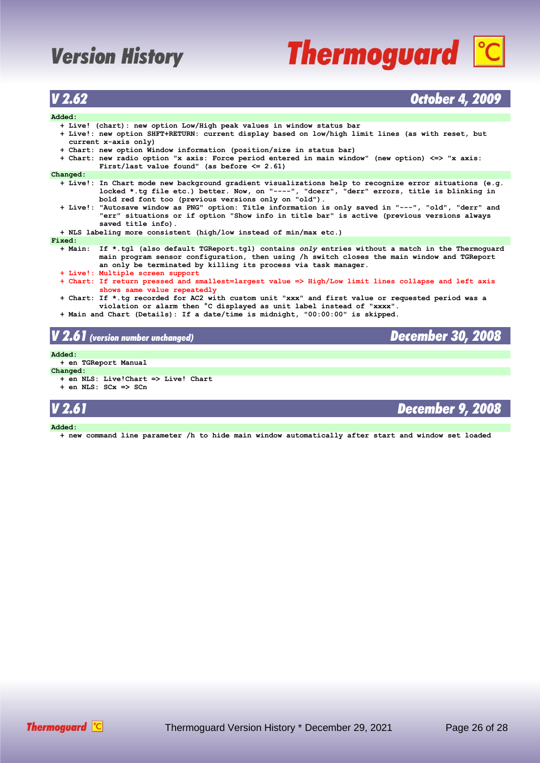# **Thermoguard C**

### *V 2.62 October 4, 2009*

### **Added:**

| Added:                                                                                                                                                                                                                                                                 |  |  |  |
|------------------------------------------------------------------------------------------------------------------------------------------------------------------------------------------------------------------------------------------------------------------------|--|--|--|
| + Live! (chart): new option Low/High peak values in window status bar                                                                                                                                                                                                  |  |  |  |
| + Live!: new option SHFT+RETURN: current display based on low/high limit lines (as with reset, but                                                                                                                                                                     |  |  |  |
| $current x-axis only)$                                                                                                                                                                                                                                                 |  |  |  |
| + Chart: new option Window information (position/size in status bar)                                                                                                                                                                                                   |  |  |  |
| + Chart: new radio option "x axis: Force period entered in main window" (new option) <=> "x axis:                                                                                                                                                                      |  |  |  |
| First/last value found" (as before $\leq$ 2.61)                                                                                                                                                                                                                        |  |  |  |
| Changed:                                                                                                                                                                                                                                                               |  |  |  |
| + Live!: In Chart mode new background gradient visualizations help to recognize error situations (e.g.                                                                                                                                                                 |  |  |  |
| locked *.tg file etc.) better. Now, on "----", "dcerr", "derr" errors, title is blinking in<br>bold red font too (previous versions only on "old").                                                                                                                    |  |  |  |
| + Live!: "Autosave window as PNG" option: Title information is only saved in "---", "old", "derr" and<br>"err" situations or if option "Show info in title bar" is active (previous versions always<br>saved title info).                                              |  |  |  |
| + NLS labeling more consistent (high/low instead of min/max etc.)                                                                                                                                                                                                      |  |  |  |
| Fixed:                                                                                                                                                                                                                                                                 |  |  |  |
| + Main: If *.tgl (also default TGReport.tgl) contains only entries without a match in the Thermoquard<br>main program sensor configuration, then using /h switch closes the main window and TGReport<br>an only be terminated by killing its process via task manager. |  |  |  |
| + Live!: Multiple screen support                                                                                                                                                                                                                                       |  |  |  |
| + Chart: If return pressed and smallest=largest value => High/Low limit lines collapse and left axis<br>shows same value repeatedly                                                                                                                                    |  |  |  |
| + Chart: If *.tg recorded for AC2 with custom unit "xxx" and first value or requested period was a<br>violation or alarm then °C displayed as unit label instead of "xxxx".                                                                                            |  |  |  |
| + Main and Chart (Details): If a date/time is midnight, "00:00:00" is skipped.                                                                                                                                                                                         |  |  |  |
| V 2.61 (version number unchanged)<br><b>December 30, 2008</b>                                                                                                                                                                                                          |  |  |  |

#### **Added:**

 **+ en TGReport Manual**

- **Changed: + en NLS: Live!Chart => Live! Chart**
	- **+ en NLS: SCx => SCn**

### *V 2.61 December 9, 2008*

**Added:**

 **+ new command line parameter /h to hide main window automatically after start and window set loaded**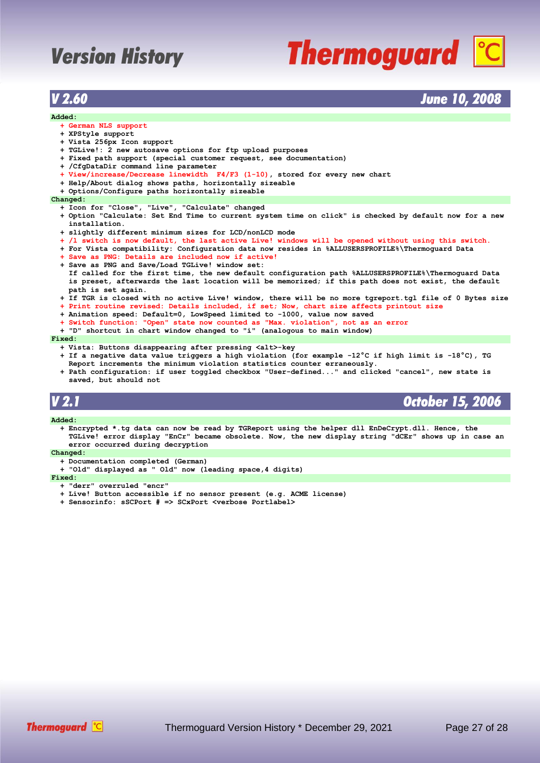# **Thermoguard C**

### *V 2.60 June 10, 2008*

#### **Added:**

- **+ German NLS support**
- **+ XPStyle support**
- **+ Vista 256px Icon support**
- **+ TGLive!: 2 new autosave options for ftp upload purposes**
- **+ Fixed path support (special customer request, see documentation)**
- **+ /CfgDataDir command line parameter**
- **+ View/increase/Decrease linewidth F4/F3 (1-10), stored for every new chart**
- **+ Help/About dialog shows paths, horizontally sizeable**
- **+ Options/Configure paths horizontally sizeable**

#### **Changed:**

- **+ Icon for "Close", "Live", "Calculate" changed**
- **+ Option "Calculate: Set End Time to current system time on click" is checked by default now for a new installation.**
- **+ slightly different minimum sizes for LCD/nonLCD mode**
- **+ /l switch is now default, the last active Live! windows will be opened without using this switch.**
- **+ For Vista compatibility: Configuration data now resides in %ALLUSERSPROFILE%\Thermoguard Data**
- **+ Save as PNG: Details are included now if active!**
- **+ Save as PNG and Save/Load TGLive! window set: If called for the first time, the new default configuration path %ALLUSERSPROFILE%\Thermoguard Data is preset, afterwards the last location will be memorized; if this path does not exist, the default path is set again.**
- **+ If TGR is closed with no active Live! window, there will be no more tgreport.tgl file of 0 Bytes size**
- **+ Print routine revised: Details included, if set; Now, chart size affects printout size**
- **+ Animation speed: Default=0, LowSpeed limited to -1000, value now saved**
- **+ Switch function: "Open" state now counted as "Max. violation", not as an error**
- **+ "D" shortcut in chart window changed to "i" (analogous to main window)**

#### **Fixed:**

- **+ Vista: Buttons disappearing after pressing <alt>-key**
- **+ If a negative data value triggers a high violation (for example -12°C if high limit is -18°C), TG Report increments the minimum violation statistics counter erraneously.**
- **+ Path configuration: if user toggled checkbox "User-defined..." and clicked "cancel", new state is saved, but should not**

*V 2.1 October 15, 2006*

#### **Added:**

 **+ Encrypted \*.tg data can now be read by TGReport using the helper dll EnDeCrypt.dll. Hence, the TGLive! error display "EnCr" became obsolete. Now, the new display string "dCEr" shows up in case an error occurred during decryption**

#### **Changed:**

- **+ Documentation completed (German)**
- **+ "Old" displayed as " Old" now (leading space,4 digits)**

#### **Fixed:**

- **+ "derr" overruled "encr"**
- **+ Live! Button accessible if no sensor present (e.g. ACME license)**
- **+ Sensorinfo: sSCPort # => SCxPort <verbose Portlabel>**